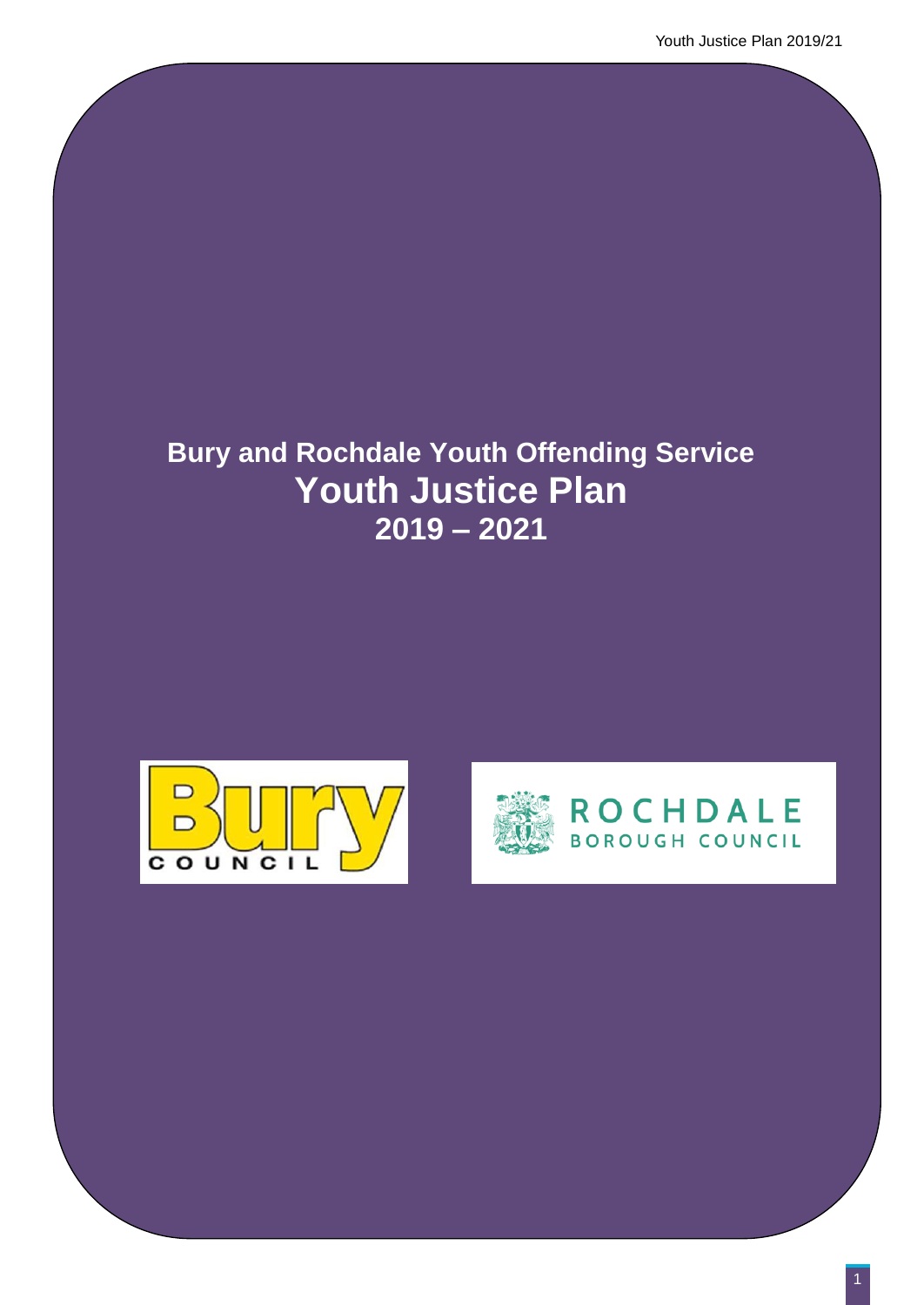# **Bury and Rochdale Youth Offending Service Youth Justice Plan 2019 – 2021**



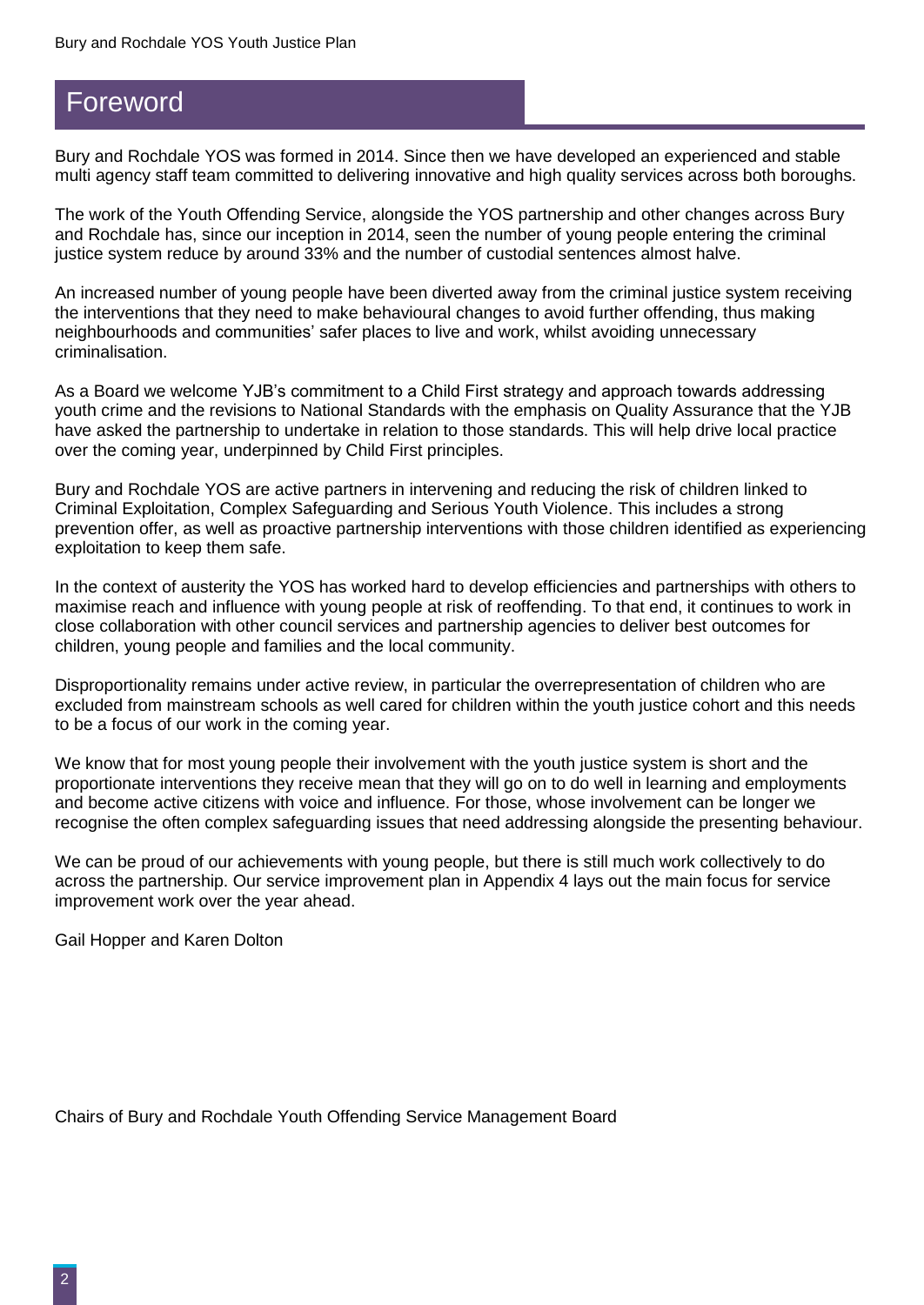## Foreword

Bury and Rochdale YOS was formed in 2014. Since then we have developed an experienced and stable multi agency staff team committed to delivering innovative and high quality services across both boroughs.

The work of the Youth Offending Service, alongside the YOS partnership and other changes across Bury and Rochdale has, since our inception in 2014, seen the number of young people entering the criminal justice system reduce by around 33% and the number of custodial sentences almost halve.

An increased number of young people have been diverted away from the criminal justice system receiving the interventions that they need to make behavioural changes to avoid further offending, thus making neighbourhoods and communities' safer places to live and work, whilst avoiding unnecessary criminalisation.

As a Board we welcome YJB's commitment to a Child First strategy and approach towards addressing youth crime and the revisions to National Standards with the emphasis on Quality Assurance that the YJB have asked the partnership to undertake in relation to those standards. This will help drive local practice over the coming year, underpinned by Child First principles.

Bury and Rochdale YOS are active partners in intervening and reducing the risk of children linked to Criminal Exploitation, Complex Safeguarding and Serious Youth Violence. This includes a strong prevention offer, as well as proactive partnership interventions with those children identified as experiencing exploitation to keep them safe.

In the context of austerity the YOS has worked hard to develop efficiencies and partnerships with others to maximise reach and influence with young people at risk of reoffending. To that end, it continues to work in close collaboration with other council services and partnership agencies to deliver best outcomes for children, young people and families and the local community.

Disproportionality remains under active review, in particular the overrepresentation of children who are excluded from mainstream schools as well cared for children within the youth justice cohort and this needs to be a focus of our work in the coming year.

We know that for most young people their involvement with the youth justice system is short and the proportionate interventions they receive mean that they will go on to do well in learning and employments and become active citizens with voice and influence. For those, whose involvement can be longer we recognise the often complex safeguarding issues that need addressing alongside the presenting behaviour.

We can be proud of our achievements with young people, but there is still much work collectively to do across the partnership. Our service improvement plan in Appendix 4 lays out the main focus for service improvement work over the year ahead.

Gail Hopper and Karen Dolton

Chairs of Bury and Rochdale Youth Offending Service Management Board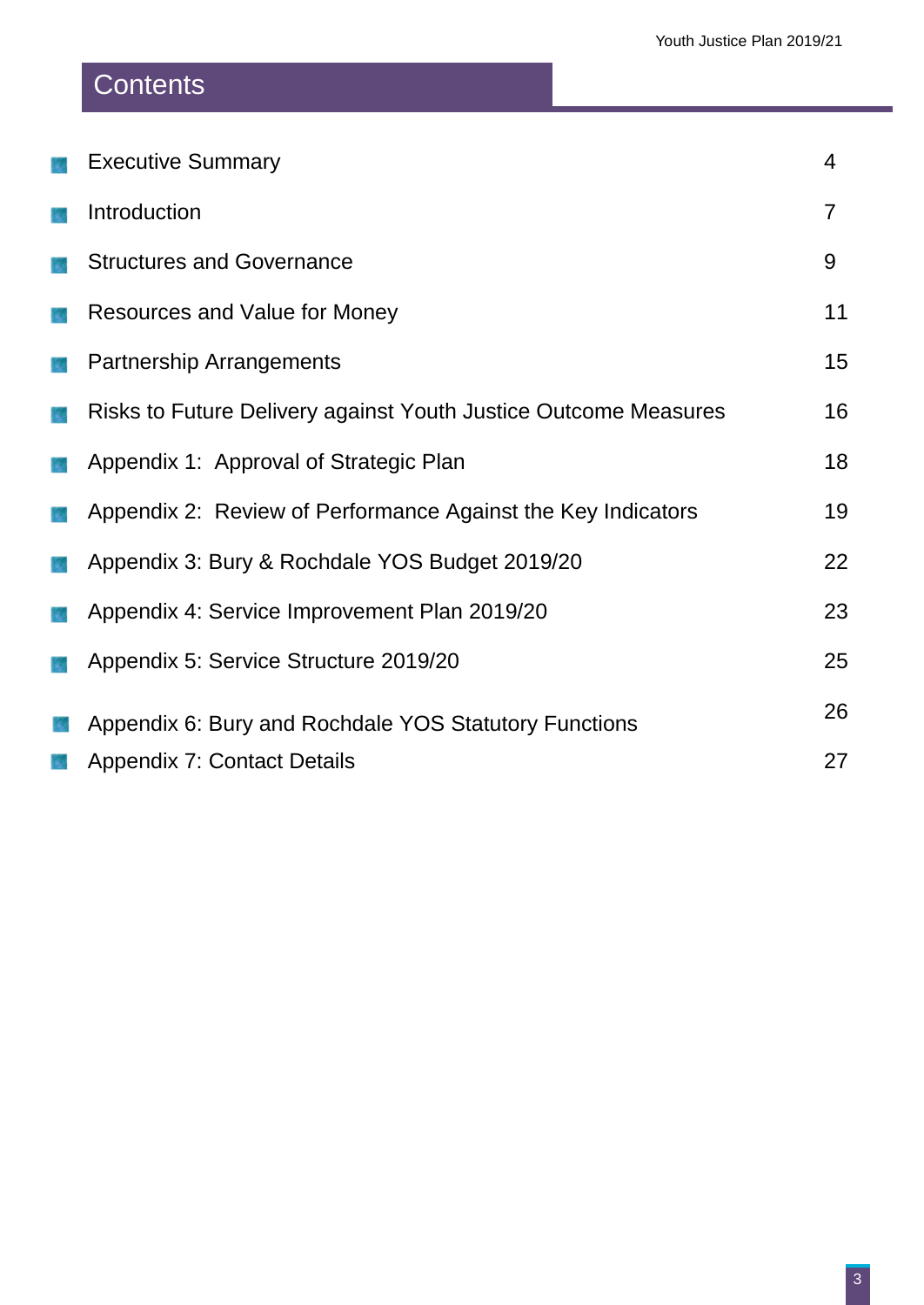# **Contents**

| <b>Executive Summary</b>                                        | $\overline{4}$                                        |
|-----------------------------------------------------------------|-------------------------------------------------------|
| Introduction                                                    | $\overline{7}$                                        |
| <b>Structures and Governance</b>                                | 9                                                     |
| Resources and Value for Money                                   | 11                                                    |
| <b>Partnership Arrangements</b>                                 | 15                                                    |
| Risks to Future Delivery against Youth Justice Outcome Measures | 16                                                    |
| Appendix 1: Approval of Strategic Plan                          | 18                                                    |
| Appendix 2: Review of Performance Against the Key Indicators    | 19                                                    |
| Appendix 3: Bury & Rochdale YOS Budget 2019/20                  | 22                                                    |
| Appendix 4: Service Improvement Plan 2019/20                    | 23                                                    |
| Appendix 5: Service Structure 2019/20                           | 25                                                    |
|                                                                 | 26                                                    |
| <b>Appendix 7: Contact Details</b>                              | 27                                                    |
|                                                                 | Appendix 6: Bury and Rochdale YOS Statutory Functions |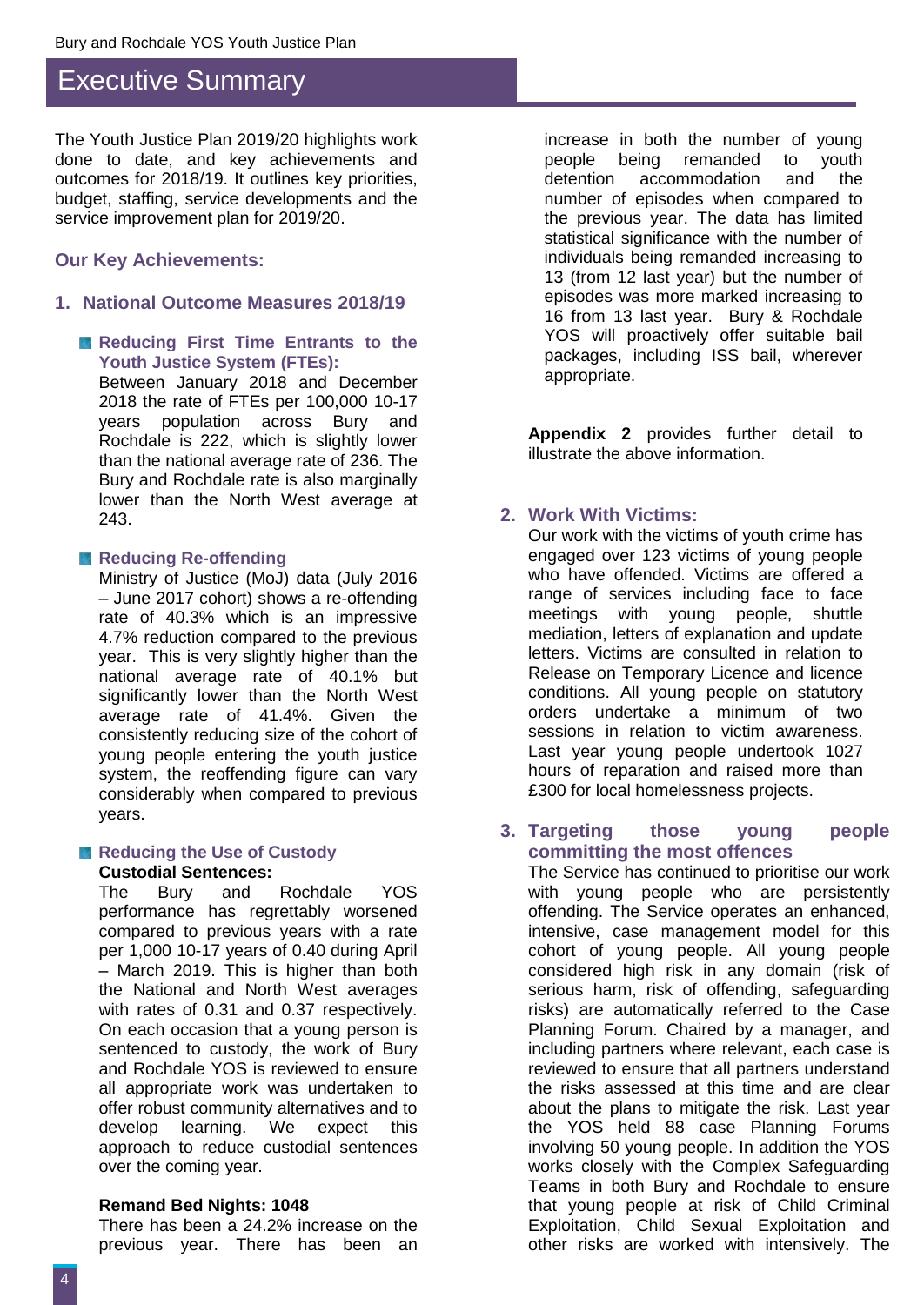### Executive Summary

The Youth Justice Plan 2019/20 highlights work done to date, and key achievements and outcomes for 2018/19. It outlines key priorities, budget, staffing, service developments and the service improvement plan for 2019/20.

#### **Our Key Achievements:**

#### **1. National Outcome Measures 2018/19**

**Reducing First Time Entrants to the Youth Justice System (FTEs):** 

Between January 2018 and December 2018 the rate of FTEs per 100,000 10-17 years population across Bury and Rochdale is 222, which is slightly lower than the national average rate of 236. The Bury and Rochdale rate is also marginally lower than the North West average at 243.

#### **Reducing Re-offending**

Ministry of Justice (MoJ) data (July 2016 – June 2017 cohort) shows a re-offending rate of 40.3% which is an impressive 4.7% reduction compared to the previous year. This is very slightly higher than the national average rate of 40.1% but significantly lower than the North West average rate of 41.4%. Given the consistently reducing size of the cohort of young people entering the youth justice system, the reoffending figure can vary considerably when compared to previous years.

#### **Reducing the Use of Custody Custodial Sentences:**

The Bury and Rochdale YOS performance has regrettably worsened compared to previous years with a rate per 1,000 10-17 years of 0.40 during April – March 2019. This is higher than both the National and North West averages with rates of 0.31 and 0.37 respectively. On each occasion that a young person is sentenced to custody, the work of Bury and Rochdale YOS is reviewed to ensure all appropriate work was undertaken to offer robust community alternatives and to develop learning. We expect this approach to reduce custodial sentences over the coming year.

#### **Remand Bed Nights: 1048**

There has been a 24.2% increase on the previous year. There has been an increase in both the number of young people being remanded to youth detention accommodation and the number of episodes when compared to the previous year. The data has limited statistical significance with the number of individuals being remanded increasing to 13 (from 12 last year) but the number of episodes was more marked increasing to 16 from 13 last year. Bury & Rochdale YOS will proactively offer suitable bail packages, including ISS bail, wherever appropriate.

**Appendix 2** provides further detail to illustrate the above information.

#### **2. Work With Victims:**

Our work with the victims of youth crime has engaged over 123 victims of young people who have offended. Victims are offered a range of services including face to face meetings with young people, shuttle mediation, letters of explanation and update letters. Victims are consulted in relation to Release on Temporary Licence and licence conditions. All young people on statutory orders undertake a minimum of two sessions in relation to victim awareness. Last year young people undertook 1027 hours of reparation and raised more than £300 for local homelessness projects.

#### **3. Targeting those young people committing the most offences**

The Service has continued to prioritise our work with young people who are persistently offending. The Service operates an enhanced, intensive, case management model for this cohort of young people. All young people considered high risk in any domain (risk of serious harm, risk of offending, safeguarding risks) are automatically referred to the Case Planning Forum. Chaired by a manager, and including partners where relevant, each case is reviewed to ensure that all partners understand the risks assessed at this time and are clear about the plans to mitigate the risk. Last year the YOS held 88 case Planning Forums involving 50 young people. In addition the YOS works closely with the Complex Safeguarding Teams in both Bury and Rochdale to ensure that young people at risk of Child Criminal Exploitation, Child Sexual Exploitation and other risks are worked with intensively. The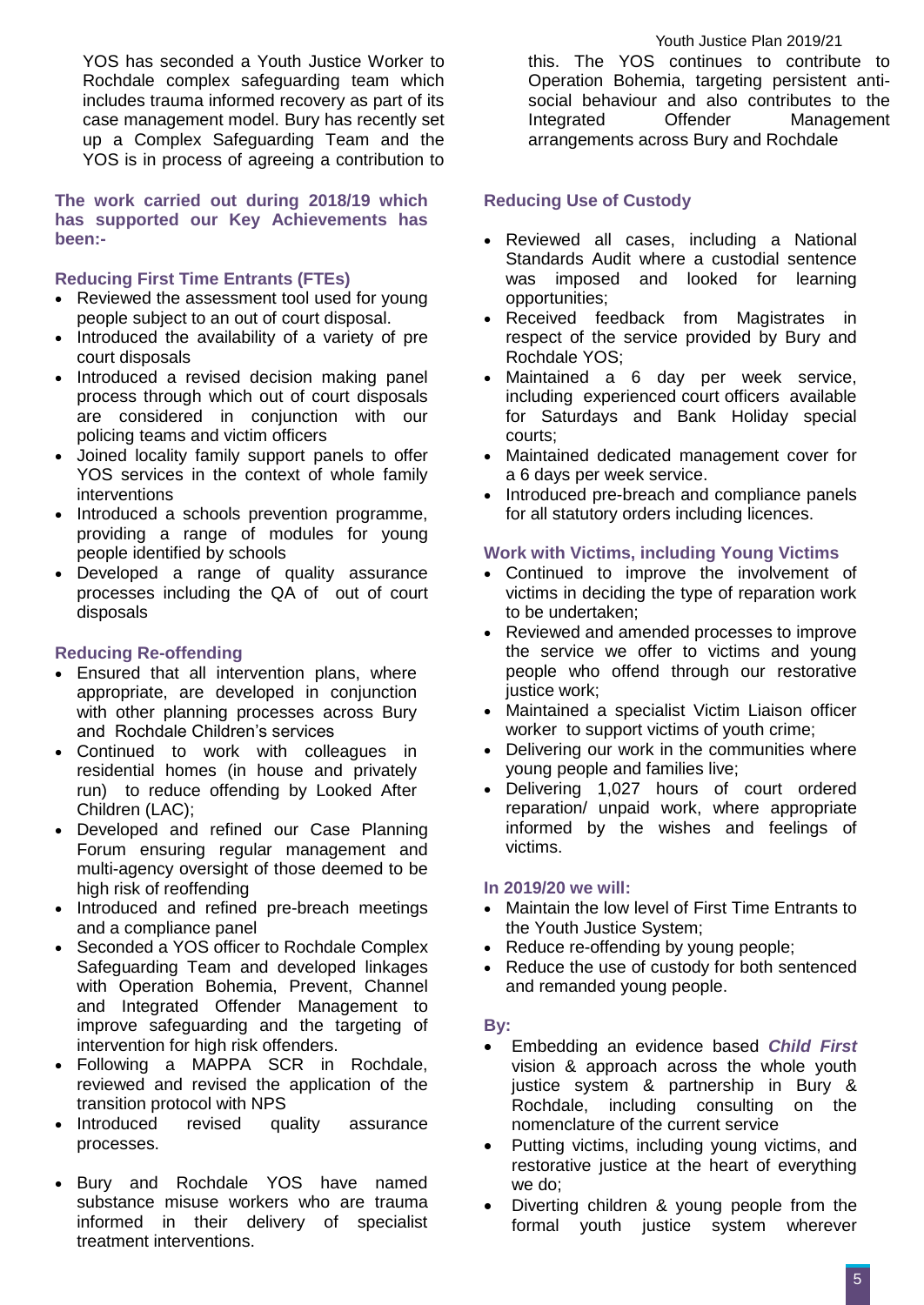YOS has seconded a Youth Justice Worker to Rochdale complex safeguarding team which includes trauma informed recovery as part of its case management model. Bury has recently set up a Complex Safeguarding Team and the YOS is in process of agreeing a contribution to

**The work carried out during 2018/19 which has supported our Key Achievements has been:-** 

#### **Reducing First Time Entrants (FTEs)**

- Reviewed the assessment tool used for young people subject to an out of court disposal.
- Introduced the availability of a variety of pre court disposals
- Introduced a revised decision making panel process through which out of court disposals are considered in conjunction with our policing teams and victim officers
- Joined locality family support panels to offer YOS services in the context of whole family interventions
- Introduced a schools prevention programme, providing a range of modules for young people identified by schools
- Developed a range of quality assurance processes including the QA of out of court disposals

#### **Reducing Re-offending**

- Ensured that all intervention plans, where appropriate, are developed in conjunction with other planning processes across Bury and Rochdale Children's services
- Continued to work with colleagues in residential homes (in house and privately run) to reduce offending by Looked After Children (LAC);
- Developed and refined our Case Planning Forum ensuring regular management and multi-agency oversight of those deemed to be high risk of reoffending
- Introduced and refined pre-breach meetings and a compliance panel
- Seconded a YOS officer to Rochdale Complex Safeguarding Team and developed linkages with Operation Bohemia, Prevent, Channel and Integrated Offender Management to improve safeguarding and the targeting of intervention for high risk offenders.
- Following a MAPPA SCR in Rochdale, reviewed and revised the application of the transition protocol with NPS
- Introduced revised quality assurance processes.
- Bury and Rochdale YOS have named substance misuse workers who are trauma informed in their delivery of specialist treatment interventions.

this. The YOS continues to contribute to Operation Bohemia, targeting persistent antisocial behaviour and also contributes to the Integrated Offender Management arrangements across Bury and Rochdale

#### **Reducing Use of Custody**

- Reviewed all cases, including a National Standards Audit where a custodial sentence was imposed and looked for learning opportunities;
- Received feedback from Magistrates in respect of the service provided by Bury and Rochdale YOS;
- Maintained a 6 day per week service, including experienced court officers available for Saturdays and Bank Holiday special courts;
- Maintained dedicated management cover for a 6 days per week service.
- Introduced pre-breach and compliance panels for all statutory orders including licences.

#### **Work with Victims, including Young Victims**

- Continued to improve the involvement of victims in deciding the type of reparation work to be undertaken;
- Reviewed and amended processes to improve the service we offer to victims and young people who offend through our restorative justice work;
- Maintained a specialist Victim Liaison officer worker to support victims of youth crime;
- Delivering our work in the communities where young people and families live;
- Delivering 1,027 hours of court ordered reparation/ unpaid work, where appropriate informed by the wishes and feelings of victims.

#### **In 2019/20 we will:**

- Maintain the low level of First Time Entrants to the Youth Justice System;
- Reduce re-offending by young people;
- Reduce the use of custody for both sentenced and remanded young people.

#### **By:**

- Embedding an evidence based *Child First* vision & approach across the whole youth justice system & partnership in Bury & Rochdale, including consulting on the nomenclature of the current service
- Putting victims, including young victims, and restorative justice at the heart of everything we do;
- Diverting children & young people from the formal youth justice system wherever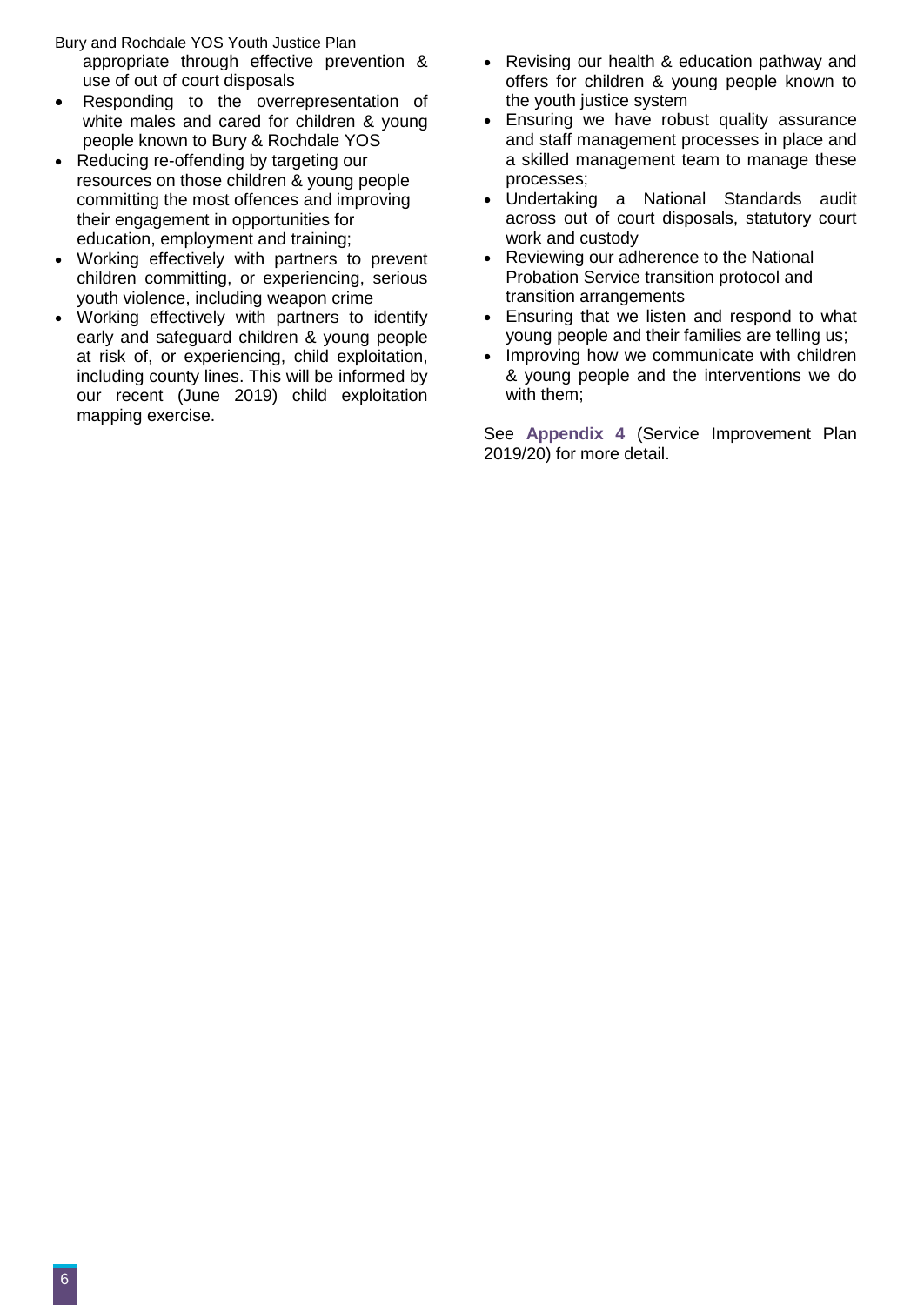Bury and Rochdale YOS Youth Justice Plan appropriate through effective prevention & use of out of court disposals

- Responding to the overrepresentation of white males and cared for children & young people known to Bury & Rochdale YOS
- Reducing re-offending by targeting our resources on those children & young people committing the most offences and improving their engagement in opportunities for education, employment and training;
- Working effectively with partners to prevent children committing, or experiencing, serious youth violence, including weapon crime
- Working effectively with partners to identify early and safeguard children & young people at risk of, or experiencing, child exploitation, including county lines. This will be informed by our recent (June 2019) child exploitation mapping exercise.
- Revising our health & education pathway and offers for children & young people known to the youth justice system
- Ensuring we have robust quality assurance and staff management processes in place and a skilled management team to manage these processes;
- Undertaking a National Standards audit across out of court disposals, statutory court work and custody
- Reviewing our adherence to the National Probation Service transition protocol and transition arrangements
- Ensuring that we listen and respond to what young people and their families are telling us;
- Improving how we communicate with children & young people and the interventions we do with them;

See **Appendix 4** (Service Improvement Plan 2019/20) for more detail.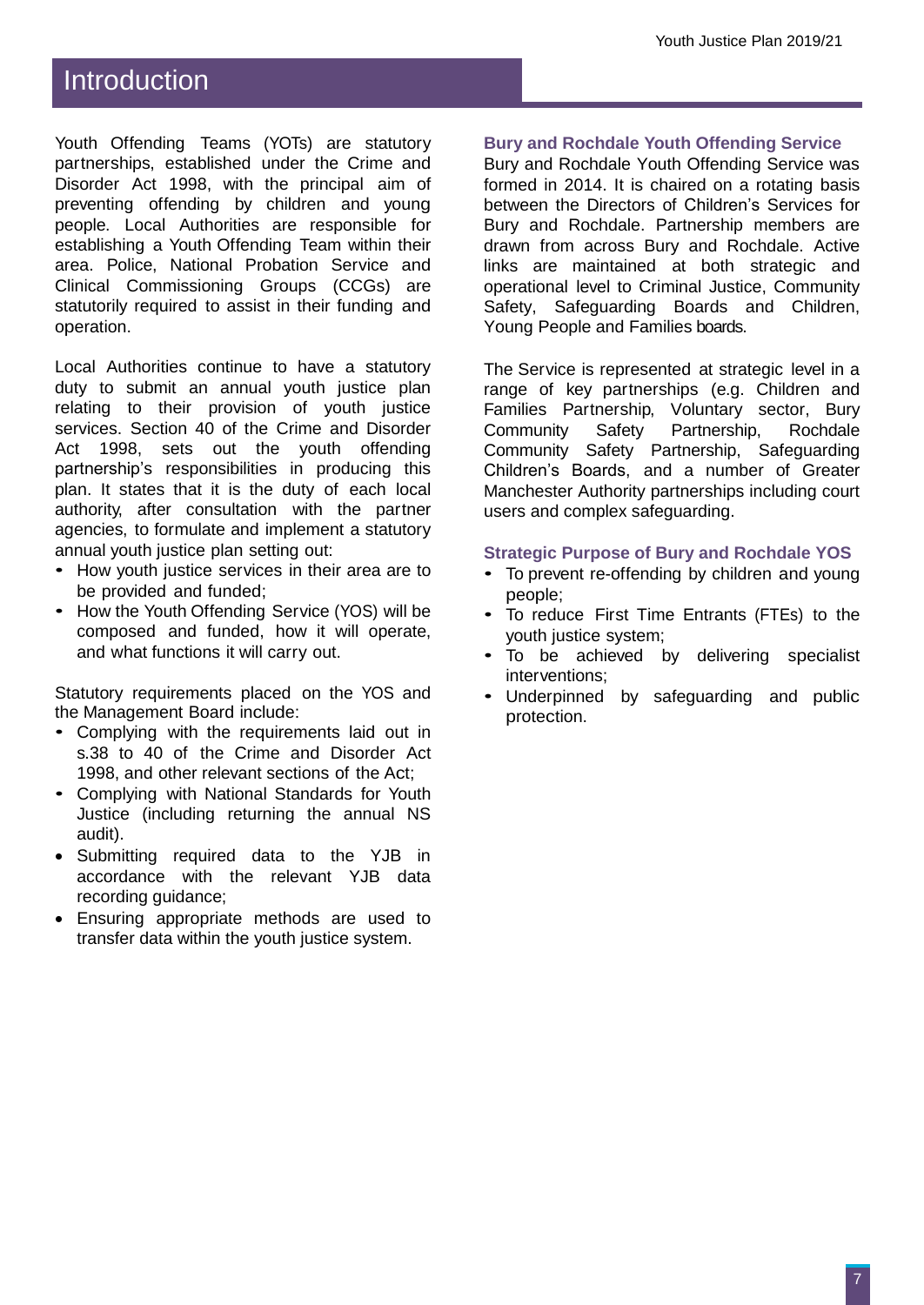## Introduction

Youth Offending Teams (YOTs) are statutory partnerships, established under the Crime and Disorder Act 1998, with the principal aim of preventing offending by children and young people. Local Authorities are responsible for establishing a Youth Offending Team within their area. Police, National Probation Service and Clinical Commissioning Groups (CCGs) are statutorily required to assist in their funding and operation.

Local Authorities continue to have a statutory duty to submit an annual youth justice plan relating to their provision of youth justice services. Section 40 of the Crime and Disorder Act 1998, sets out the youth offending partnership's responsibilities in producing this plan. It states that it is the duty of each local authority, after consultation with the partner agencies, to formulate and implement a statutory annual youth justice plan setting out:

- How youth justice services in their area are to be provided and funded;
- How the Youth Offending Service (YOS) will be composed and funded, how it will operate, and what functions it will carry out.

Statutory requirements placed on the YOS and the Management Board include:

- Complying with the requirements laid out in s.38 to 40 of the Crime and Disorder Act 1998, and other relevant sections of the Act;
- Complying with National Standards for Youth Justice (including returning the annual NS audit).
- Submitting required data to the YJB in accordance with the relevant YJB data recording guidance;
- Ensuring appropriate methods are used to transfer data within the youth justice system.

#### **Bury and Rochdale Youth Offending Service**

Bury and Rochdale Youth Offending Service was formed in 2014. It is chaired on a rotating basis between the Directors of Children's Services for Bury and Rochdale. Partnership members are drawn from across Bury and Rochdale. Active links are maintained at both strategic and operational level to Criminal Justice, Community Safety, Safeguarding Boards and Children, Young People and Families boards.

The Service is represented at strategic level in a range of key partnerships (e.g. Children and Families Partnership, Voluntary sector, Bury Community Safety Partnership, Rochdale Community Safety Partnership, Safeguarding Children's Boards, and a number of Greater Manchester Authority partnerships including court users and complex safeguarding.

#### **Strategic Purpose of Bury and Rochdale YOS**

- To prevent re-offending by children and young people;
- To reduce First Time Entrants (FTEs) to the youth justice system;
- To be achieved by delivering specialist interventions;
- Underpinned by safeguarding and public protection.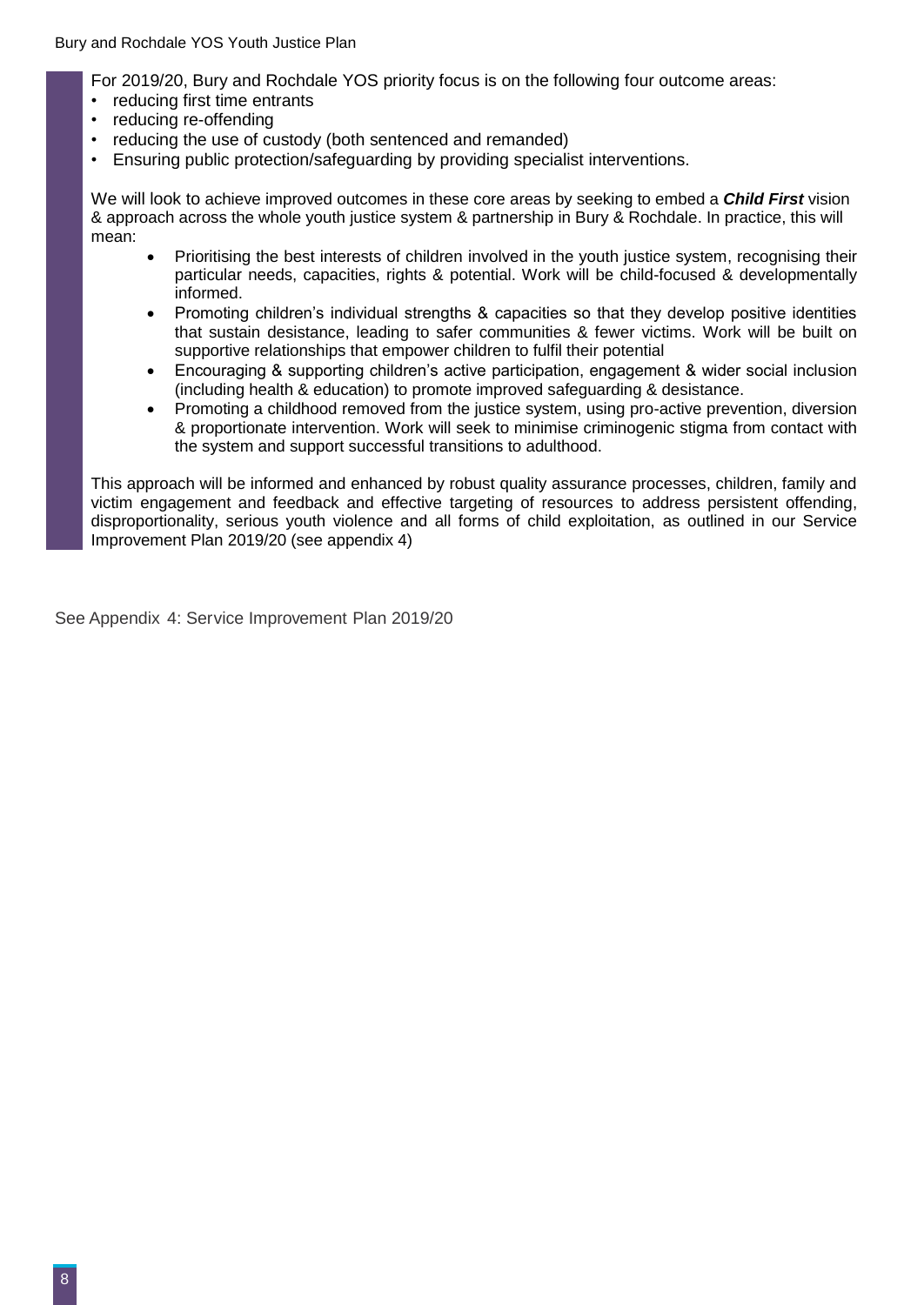Bury and Rochdale YOS Youth Justice Plan

For 2019/20, Bury and Rochdale YOS priority focus is on the following four outcome areas:

- reducing first time entrants
- reducing re-offending
- reducing the use of custody (both sentenced and remanded)
- Ensuring public protection/safeguarding by providing specialist interventions.

We will look to achieve improved outcomes in these core areas by seeking to embed a *Child First* vision & approach across the whole youth justice system & partnership in Bury & Rochdale. In practice, this will mean:

- Prioritising the best interests of children involved in the youth justice system, recognising their particular needs, capacities, rights & potential. Work will be child-focused & developmentally informed.
- Promoting children's individual strengths & capacities so that they develop positive identities that sustain desistance, leading to safer communities & fewer victims. Work will be built on supportive relationships that empower children to fulfil their potential
- Encouraging & supporting children's active participation, engagement & wider social inclusion (including health & education) to promote improved safeguarding & desistance.
- Promoting a childhood removed from the justice system, using pro-active prevention, diversion & proportionate intervention. Work will seek to minimise criminogenic stigma from contact with the system and support successful transitions to adulthood.

This approach will be informed and enhanced by robust quality assurance processes, children, family and victim engagement and feedback and effective targeting of resources to address persistent offending, disproportionality, serious youth violence and all forms of child exploitation, as outlined in our Service Improvement Plan 2019/20 (see appendix 4)

See Appendix 4: Service Improvement Plan 2019/20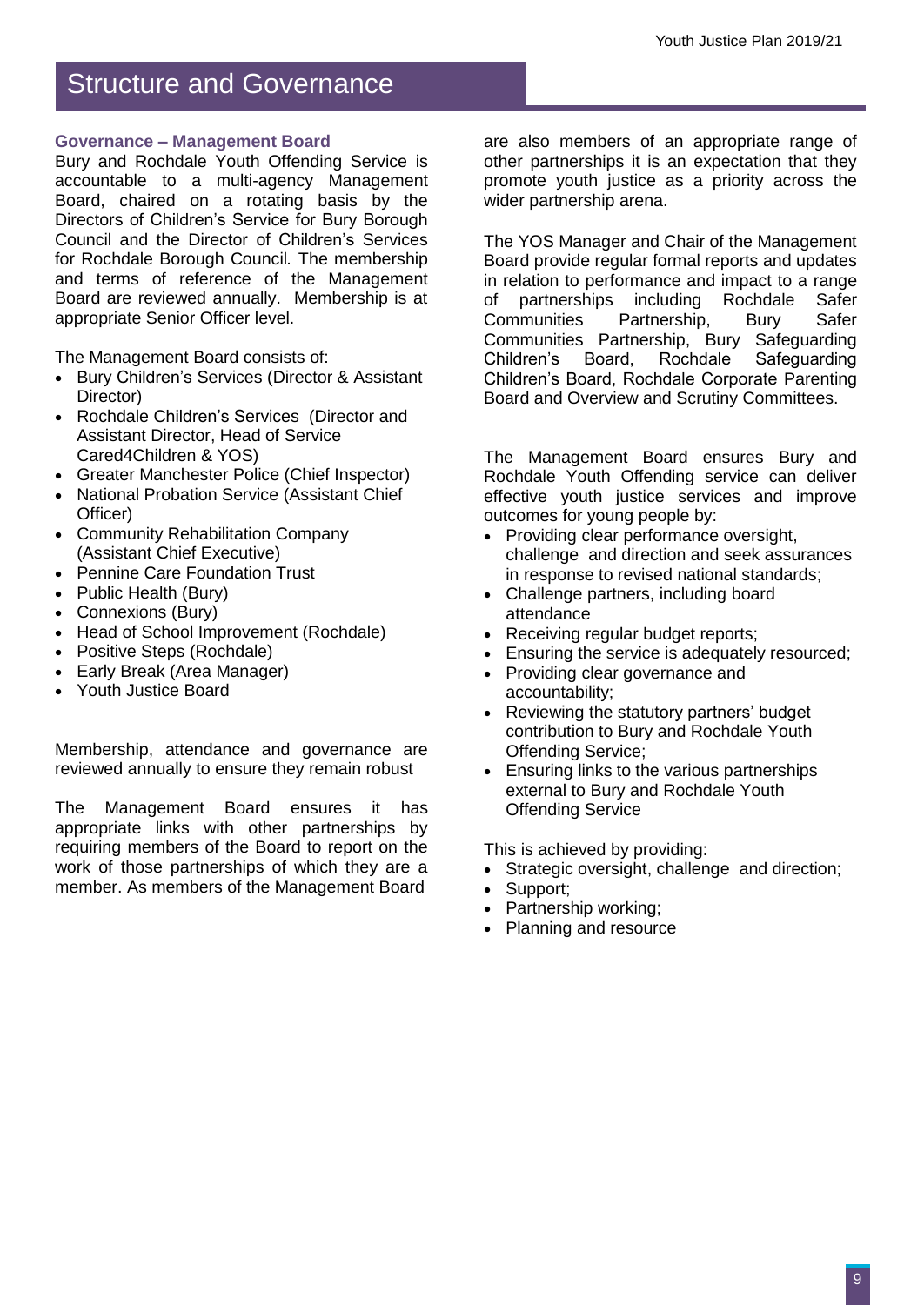## Structure and Governance

#### **Governance – Management Board**

Bury and Rochdale Youth Offending Service is accountable to a multi-agency Management Board, chaired on a rotating basis by the Directors of Children's Service for Bury Borough Council and the Director of Children's Services for Rochdale Borough Council*.* The membership and terms of reference of the Management Board are reviewed annually. Membership is at appropriate Senior Officer level.

The Management Board consists of:

- Bury Children's Services (Director & Assistant Director)
- Rochdale Children's Services (Director and Assistant Director, Head of Service Cared4Children & YOS)
- Greater Manchester Police (Chief Inspector)
- National Probation Service (Assistant Chief Officer)
- Community Rehabilitation Company (Assistant Chief Executive)
- Pennine Care Foundation Trust
- Public Health (Bury)
- Connexions (Bury)
- Head of School Improvement (Rochdale)
- Positive Steps (Rochdale)
- Early Break (Area Manager)
- Youth Justice Board

Membership, attendance and governance are reviewed annually to ensure they remain robust

The Management Board ensures it has appropriate links with other partnerships by requiring members of the Board to report on the work of those partnerships of which they are a member. As members of the Management Board

are also members of an appropriate range of other partnerships it is an expectation that they promote youth justice as a priority across the wider partnership arena.

The YOS Manager and Chair of the Management Board provide regular formal reports and updates in relation to performance and impact to a range of partnerships including Rochdale Safer<br>Communities Partnership. Burv Safer Partnership, Bury Communities Partnership, Bury Safeguarding Children's Board, Rochdale Safeguarding Children's Board, Rochdale Corporate Parenting Board and Overview and Scrutiny Committees.

The Management Board ensures Bury and Rochdale Youth Offending service can deliver effective youth justice services and improve outcomes for young people by:

- Providing clear performance oversight, challenge and direction and seek assurances in response to revised national standards;
- Challenge partners, including board attendance
- Receiving regular budget reports;
- **Ensuring the service is adequately resourced;**
- Providing clear governance and accountability;
- Reviewing the statutory partners' budget contribution to Bury and Rochdale Youth Offending Service;
- **Ensuring links to the various partnerships** external to Bury and Rochdale Youth Offending Service

This is achieved by providing:

- Strategic oversight, challenge and direction;
- Support;
- Partnership working;
- Planning and resource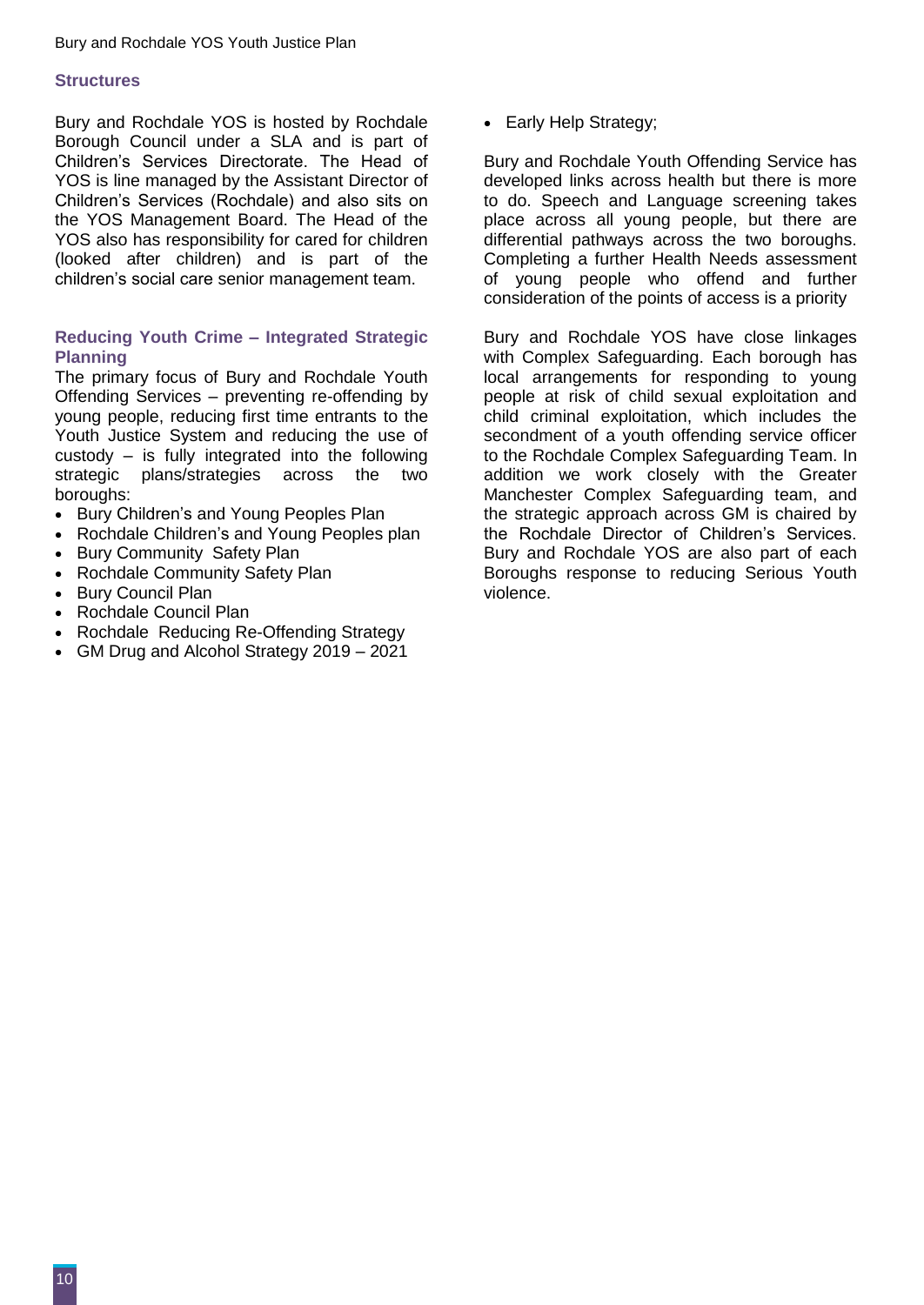#### **Structures**

Bury and Rochdale YOS is hosted by Rochdale Borough Council under a SLA and is part of Children's Services Directorate. The Head of YOS is line managed by the Assistant Director of Children's Services (Rochdale) and also sits on the YOS Management Board. The Head of the YOS also has responsibility for cared for children (looked after children) and is part of the children's social care senior management team.

#### **Reducing Youth Crime – Integrated Strategic Planning**

The primary focus of Bury and Rochdale Youth Offending Services – preventing re-offending by young people, reducing first time entrants to the Youth Justice System and reducing the use of custody – is fully integrated into the following strategic plans/strategies across the two boroughs:

- Bury Children's and Young Peoples Plan
- Rochdale Children's and Young Peoples plan
- Bury Community Safety Plan
- Rochdale Community Safety Plan
- Bury Council Plan
- Rochdale Council Plan
- Rochdale Reducing Re-Offending Strategy
- GM Drug and Alcohol Strategy 2019 2021

• Early Help Strategy;

Bury and Rochdale Youth Offending Service has developed links across health but there is more to do. Speech and Language screening takes place across all young people, but there are differential pathways across the two boroughs. Completing a further Health Needs assessment of young people who offend and further consideration of the points of access is a priority

Bury and Rochdale YOS have close linkages with Complex Safeguarding. Each borough has local arrangements for responding to young people at risk of child sexual exploitation and child criminal exploitation, which includes the secondment of a youth offending service officer to the Rochdale Complex Safeguarding Team. In addition we work closely with the Greater Manchester Complex Safeguarding team, and the strategic approach across GM is chaired by the Rochdale Director of Children's Services. Bury and Rochdale YOS are also part of each Boroughs response to reducing Serious Youth violence.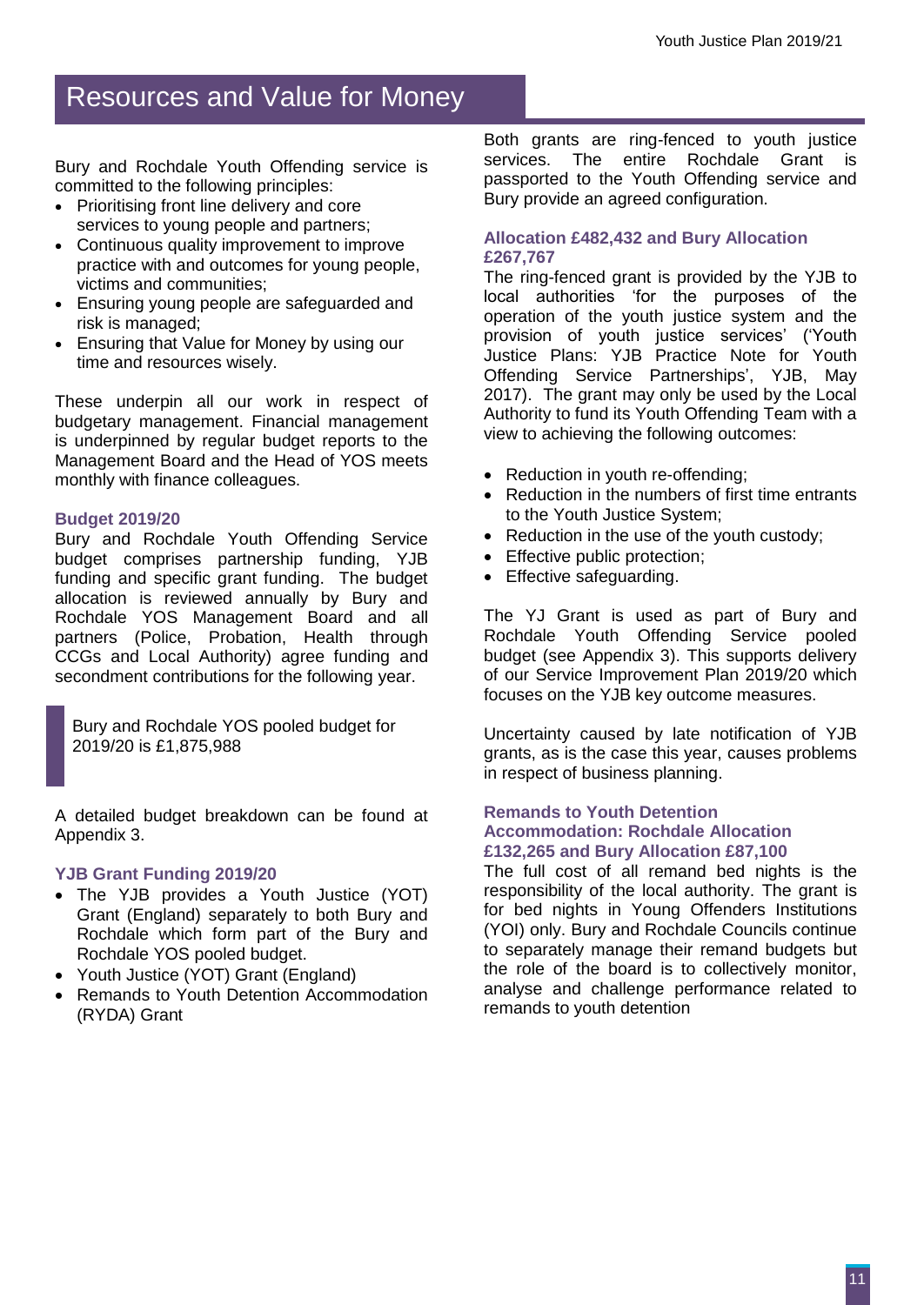## Resources and Value for Money

Bury and Rochdale Youth Offending service is committed to the following principles:

- Prioritising front line delivery and core services to young people and partners;
- Continuous quality improvement to improve practice with and outcomes for young people, victims and communities;
- Ensuring young people are safeguarded and risk is managed;
- Ensuring that Value for Money by using our time and resources wisely.

These underpin all our work in respect of budgetary management. Financial management is underpinned by regular budget reports to the Management Board and the Head of YOS meets monthly with finance colleagues.

#### **Budget 2019/20**

Bury and Rochdale Youth Offending Service budget comprises partnership funding, YJB funding and specific grant funding. The budget allocation is reviewed annually by Bury and Rochdale YOS Management Board and all partners (Police, Probation, Health through CCGs and Local Authority) agree funding and secondment contributions for the following year.

Bury and Rochdale YOS pooled budget for 2019/20 is £1,875,988

A detailed budget breakdown can be found at Appendix 3.

#### **YJB Grant Funding 2019/20**

- The YJB provides a Youth Justice (YOT) Grant (England) separately to both Bury and Rochdale which form part of the Bury and Rochdale YOS pooled budget.
- Youth Justice (YOT) Grant (England)
- Remands to Youth Detention Accommodation (RYDA) Grant

Both grants are ring-fenced to youth justice services. The entire Rochdale Grant is passported to the Youth Offending service and Bury provide an agreed configuration.

#### **Allocation £482,432 and Bury Allocation £267,767**

The ring-fenced grant is provided by the YJB to local authorities 'for the purposes of the operation of the youth justice system and the provision of youth justice services' ('Youth Justice Plans: YJB Practice Note for Youth Offending Service Partnerships', YJB, May 2017). The grant may only be used by the Local Authority to fund its Youth Offending Team with a view to achieving the following outcomes:

- Reduction in youth re-offending;
- Reduction in the numbers of first time entrants to the Youth Justice System;
- Reduction in the use of the youth custody;
- Effective public protection;
- Effective safequarding.

The YJ Grant is used as part of Bury and Rochdale Youth Offending Service pooled budget (see Appendix 3). This supports delivery of our Service Improvement Plan 2019/20 which focuses on the YJB key outcome measures.

Uncertainty caused by late notification of YJB grants, as is the case this year, causes problems in respect of business planning.

#### **Remands to Youth Detention Accommodation: Rochdale Allocation £132,265 and Bury Allocation £87,100**

The full cost of all remand bed nights is the responsibility of the local authority. The grant is for bed nights in Young Offenders Institutions (YOI) only. Bury and Rochdale Councils continue to separately manage their remand budgets but the role of the board is to collectively monitor, analyse and challenge performance related to remands to youth detention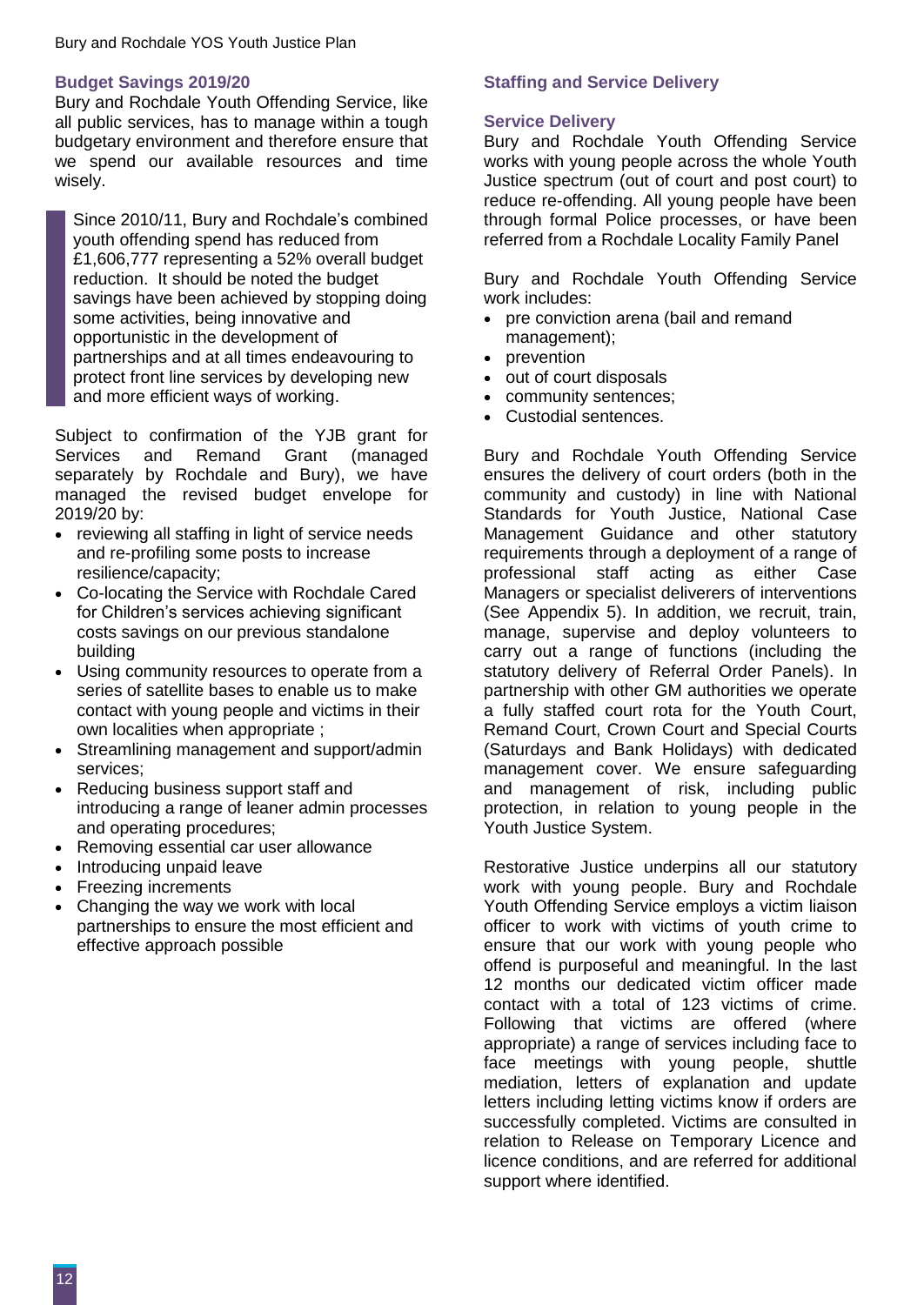#### **Budget Savings 2019/20**

Bury and Rochdale Youth Offending Service, like all public services, has to manage within a tough budgetary environment and therefore ensure that we spend our available resources and time wisely.

Since 2010/11, Bury and Rochdale's combined youth offending spend has reduced from £1,606,777 representing a 52% overall budget reduction. It should be noted the budget savings have been achieved by stopping doing some activities, being innovative and opportunistic in the development of partnerships and at all times endeavouring to protect front line services by developing new and more efficient ways of working.

Subject to confirmation of the YJB grant for Services and Remand Grant (managed separately by Rochdale and Bury), we have managed the revised budget envelope for 2019/20 by:

- reviewing all staffing in light of service needs and re-profiling some posts to increase resilience/capacity;
- Co-locating the Service with Rochdale Cared for Children's services achieving significant costs savings on our previous standalone building
- Using community resources to operate from a series of satellite bases to enable us to make contact with young people and victims in their own localities when appropriate ;
- Streamlining management and support/admin services;
- Reducing business support staff and introducing a range of leaner admin processes and operating procedures;
- Removing essential car user allowance
- Introducing unpaid leave
- Freezing increments
- Changing the way we work with local partnerships to ensure the most efficient and effective approach possible

#### **Staffing and Service Delivery**

#### **Service Delivery**

Bury and Rochdale Youth Offending Service works with young people across the whole Youth Justice spectrum (out of court and post court) to reduce re-offending. All young people have been through formal Police processes, or have been referred from a Rochdale Locality Family Panel

Bury and Rochdale Youth Offending Service work includes:

- pre conviction arena (bail and remand management);
- prevention
- out of court disposals
- community sentences;
- Custodial sentences.

Bury and Rochdale Youth Offending Service ensures the delivery of court orders (both in the community and custody) in line with National Standards for Youth Justice, National Case Management Guidance and other statutory requirements through a deployment of a range of professional staff acting as either Case Managers or specialist deliverers of interventions (See Appendix 5). In addition, we recruit, train, manage, supervise and deploy volunteers to carry out a range of functions (including the statutory delivery of Referral Order Panels). In partnership with other GM authorities we operate a fully staffed court rota for the Youth Court, Remand Court, Crown Court and Special Courts (Saturdays and Bank Holidays) with dedicated management cover. We ensure safeguarding and management of risk, including public protection, in relation to young people in the Youth Justice System.

Restorative Justice underpins all our statutory work with young people. Bury and Rochdale Youth Offending Service employs a victim liaison officer to work with victims of youth crime to ensure that our work with young people who offend is purposeful and meaningful. In the last 12 months our dedicated victim officer made contact with a total of 123 victims of crime. Following that victims are offered (where appropriate) a range of services including face to face meetings with young people, shuttle mediation, letters of explanation and update letters including letting victims know if orders are successfully completed. Victims are consulted in relation to Release on Temporary Licence and licence conditions, and are referred for additional support where identified.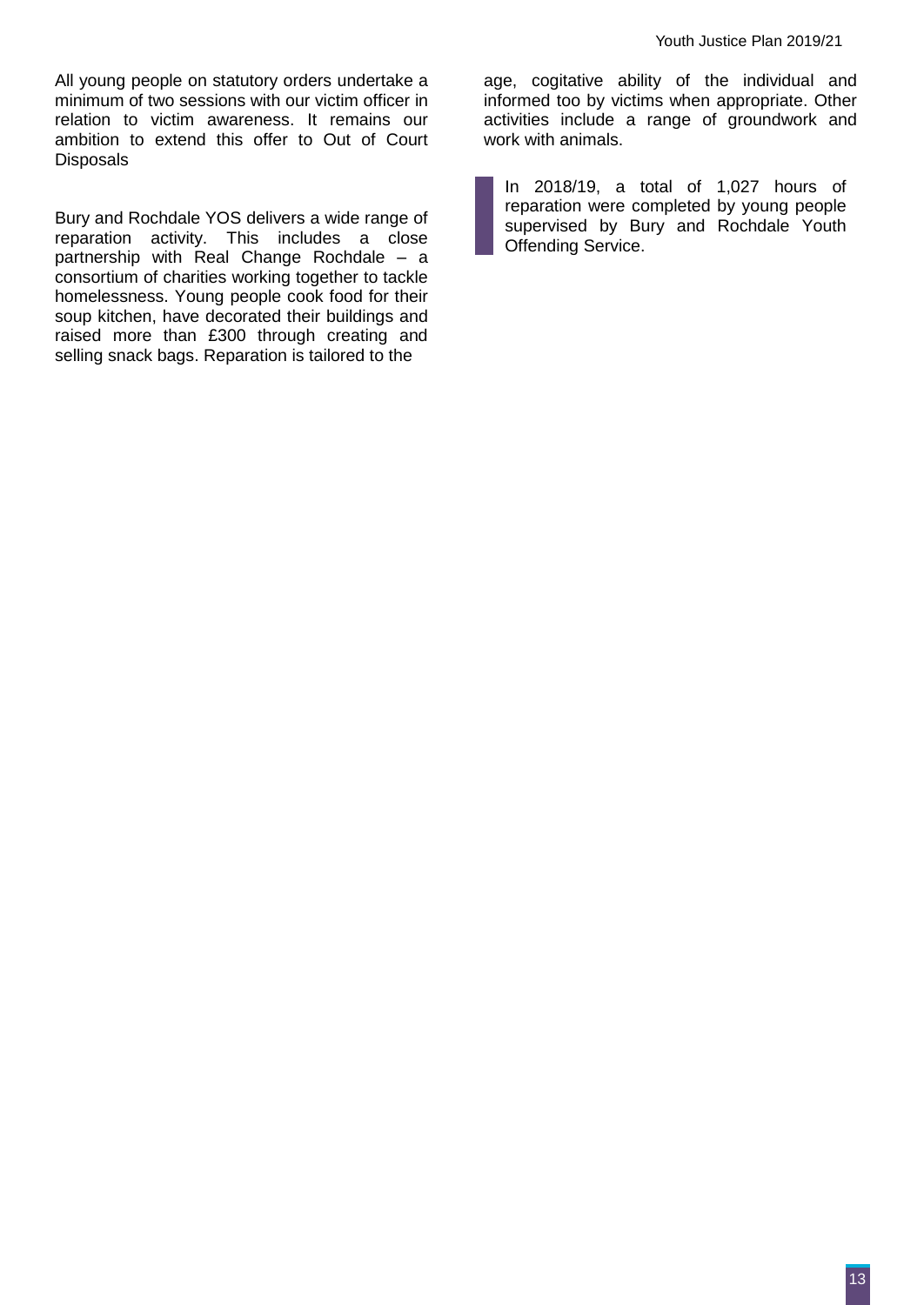All young people on statutory orders undertake a minimum of two sessions with our victim officer in relation to victim awareness. It remains our ambition to extend this offer to Out of Court **Disposals** 

Bury and Rochdale YOS delivers a wide range of reparation activity. This includes a close partnership with Real Change Rochdale – a consortium of charities working together to tackle homelessness. Young people cook food for their soup kitchen, have decorated their buildings and raised more than £300 through creating and selling snack bags. Reparation is tailored to the

age, cogitative ability of the individual and informed too by victims when appropriate. Other activities include a range of groundwork and work with animals.

In 2018/19, a total of 1,027 hours of reparation were completed by young people supervised by Bury and Rochdale Youth Offending Service.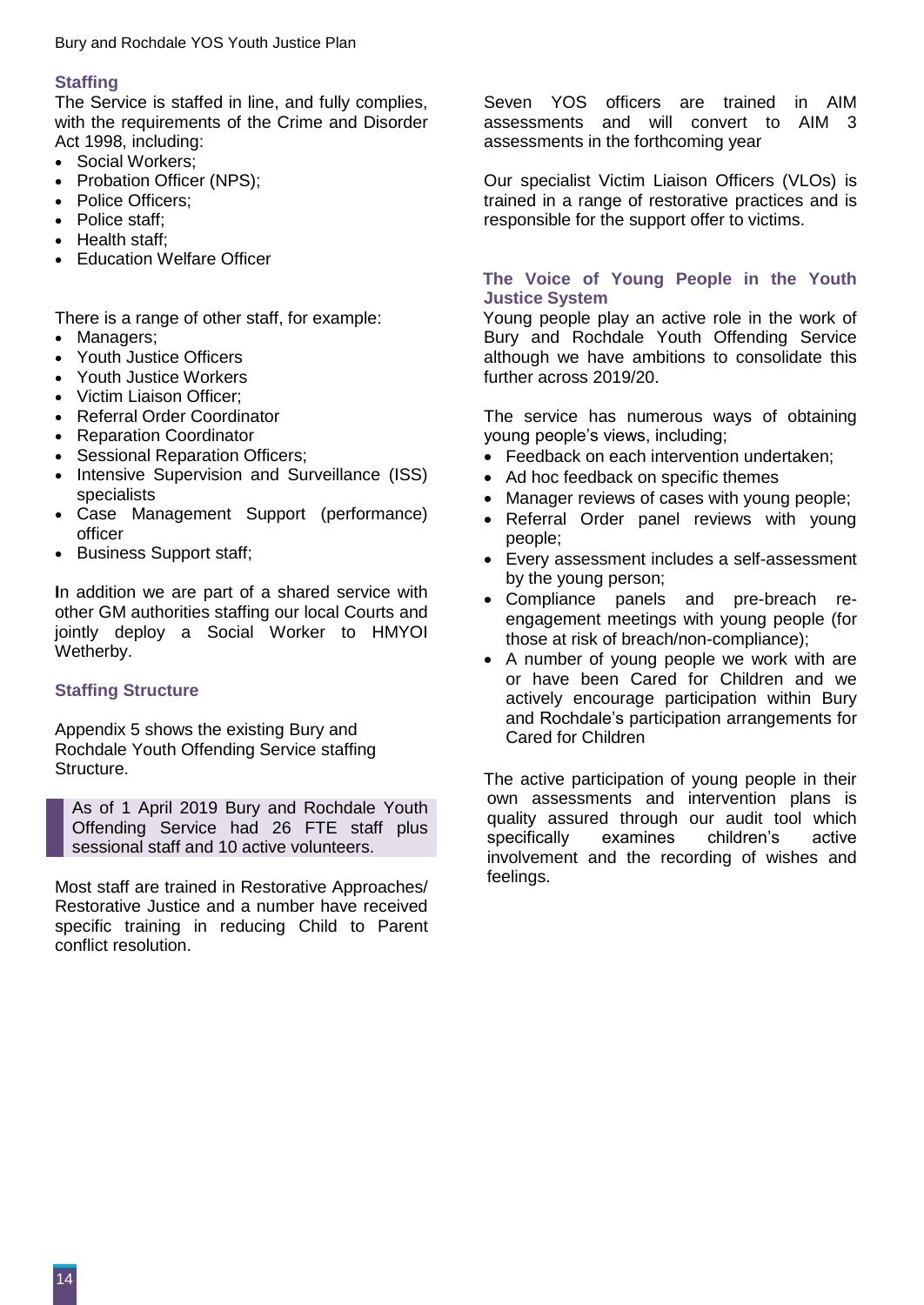#### **Staffing**

The Service is staffed in line, and fully complies, with the requirements of the Crime and Disorder Act 1998, including:

- Social Workers;
- Probation Officer (NPS);
- Police Officers;
- Police staff:
- Health staff:
- Education Welfare Officer

There is a range of other staff, for example:

- Managers;
- Youth Justice Officers
- Youth Justice Workers
- Victim Liaison Officer:
- Referral Order Coordinator
- Reparation Coordinator
- Sessional Reparation Officers;
- Intensive Supervision and Surveillance (ISS) specialists
- Case Management Support (performance) officer
- Business Support staff;

**I**n addition we are part of a shared service with other GM authorities staffing our local Courts and jointly deploy a Social Worker to HMYOI Wetherby.

#### **Staffing Structure**

Appendix 5 shows the existing Bury and Rochdale Youth Offending Service staffing Structure.

As of 1 April 2019 Bury and Rochdale Youth Offending Service had 26 FTE staff plus sessional staff and 10 active volunteers.

Most staff are trained in Restorative Approaches/ Restorative Justice and a number have received specific training in reducing Child to Parent conflict resolution.

Seven YOS officers are trained in AIM assessments and will convert to AIM 3 assessments in the forthcoming year

Our specialist Victim Liaison Officers (VLOs) is trained in a range of restorative practices and is responsible for the support offer to victims.

#### **The Voice of Young People in the Youth Justice System**

Young people play an active role in the work of Bury and Rochdale Youth Offending Service although we have ambitions to consolidate this further across 2019/20.

The service has numerous ways of obtaining young people's views, including;

- Feedback on each intervention undertaken:
- Ad hoc feedback on specific themes
- Manager reviews of cases with young people;
- Referral Order panel reviews with young people;
- Every assessment includes a self-assessment by the young person;
- Compliance panels and pre-breach reengagement meetings with young people (for those at risk of breach/non-compliance);
- A number of young people we work with are or have been Cared for Children and we actively encourage participation within Bury and Rochdale's participation arrangements for Cared for Children

The active participation of young people in their own assessments and intervention plans is quality assured through our audit tool which specifically examines children's active involvement and the recording of wishes and feelings.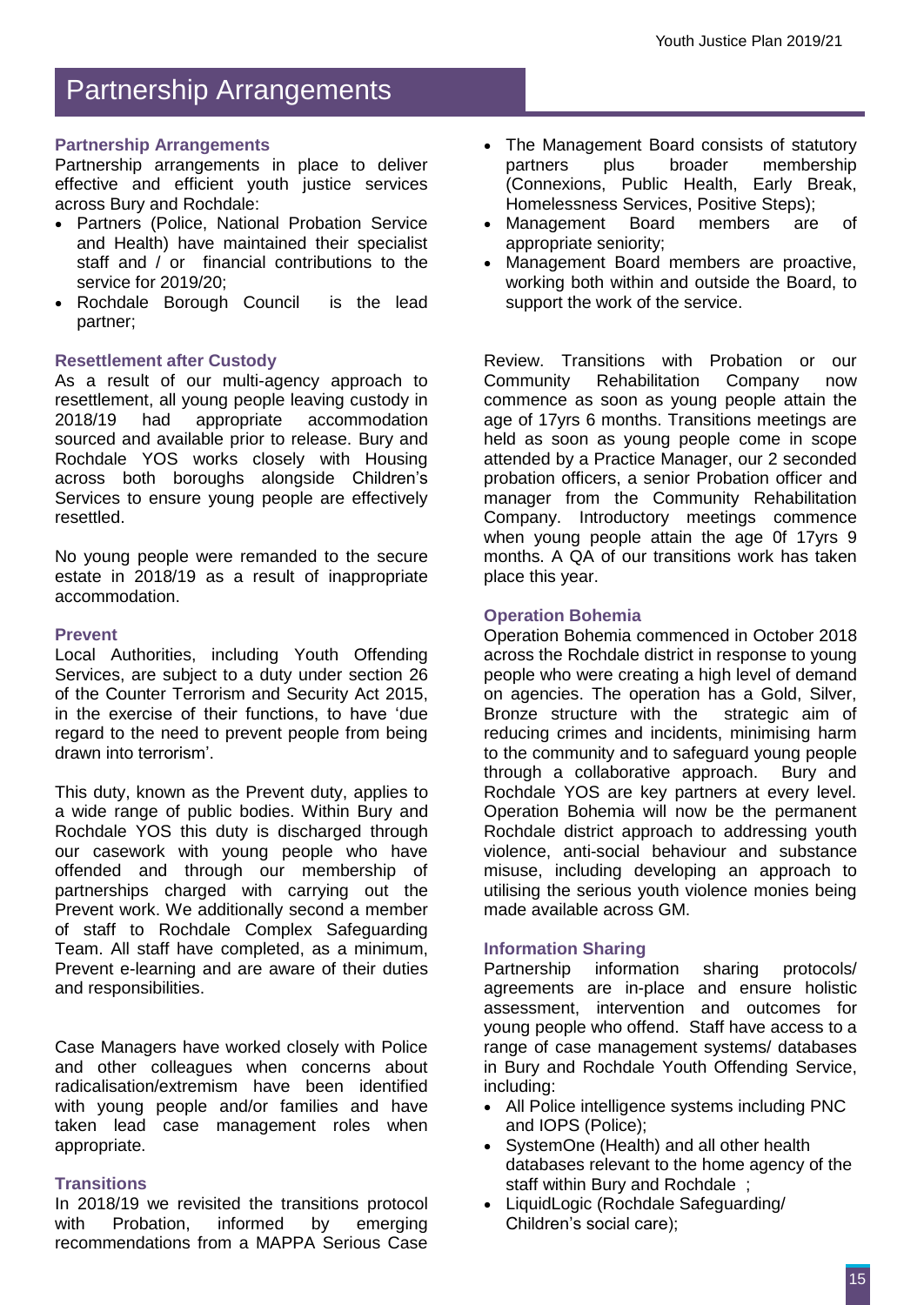## Partnership Arrangements

#### **Partnership Arrangements**

Partnership arrangements in place to deliver effective and efficient youth justice services across Bury and Rochdale:

- Partners (Police, National Probation Service and Health) have maintained their specialist staff and / or financial contributions to the service for 2019/20;
- Rochdale Borough Council is the lead partner;

#### **Resettlement after Custody**

As a result of our multi-agency approach to resettlement, all young people leaving custody in accommodation sourced and available prior to release. Bury and Rochdale YOS works closely with Housing across both boroughs alongside Children's Services to ensure young people are effectively resettled.

No young people were remanded to the secure estate in 2018/19 as a result of inappropriate accommodation.

#### **Prevent**

Local Authorities, including Youth Offending Services, are subject to a duty under section 26 of the Counter Terrorism and Security Act 2015, in the exercise of their functions, to have 'due regard to the need to prevent people from being drawn into terrorism'.

This duty, known as the Prevent duty, applies to a wide range of public bodies. Within Bury and Rochdale YOS this duty is discharged through our casework with young people who have offended and through our membership of partnerships charged with carrying out the Prevent work. We additionally second a member of staff to Rochdale Complex Safeguarding Team. All staff have completed, as a minimum, Prevent e-learning and are aware of their duties and responsibilities.

Case Managers have worked closely with Police and other colleagues when concerns about radicalisation/extremism have been identified with young people and/or families and have taken lead case management roles when appropriate.

#### **Transitions**

In 2018/19 we revisited the transitions protocol with Probation, informed by emerging recommendations from a MAPPA Serious Case

- The Management Board consists of statutory partners plus broader membership (Connexions, Public Health, Early Break, Homelessness Services, Positive Steps);
- Management Board members are of appropriate seniority;
- Management Board members are proactive, working both within and outside the Board, to support the work of the service.

Review. Transitions with Probation or our<br>Community Rehabilitation Company now Community Rehabilitation Company now commence as soon as young people attain the age of 17yrs 6 months. Transitions meetings are held as soon as young people come in scope attended by a Practice Manager, our 2 seconded probation officers, a senior Probation officer and manager from the Community Rehabilitation Company. Introductory meetings commence when young people attain the age 0f 17yrs 9 months. A QA of our transitions work has taken place this year.

#### **Operation Bohemia**

Operation Bohemia commenced in October 2018 across the Rochdale district in response to young people who were creating a high level of demand on agencies. The operation has a Gold, Silver, Bronze structure with the strategic aim of reducing crimes and incidents, minimising harm to the community and to safeguard young people through a collaborative approach. Bury and Rochdale YOS are key partners at every level. Operation Bohemia will now be the permanent Rochdale district approach to addressing youth violence, anti-social behaviour and substance misuse, including developing an approach to utilising the serious youth violence monies being made available across GM.

#### **Information Sharing**

Partnership information sharing protocols/ agreements are in-place and ensure holistic assessment, intervention and outcomes for young people who offend. Staff have access to a range of case management systems/ databases in Bury and Rochdale Youth Offending Service, including:

- All Police intelligence systems including PNC and IOPS (Police);
- SystemOne (Health) and all other health databases relevant to the home agency of the staff within Bury and Rochdale ;
- LiquidLogic (Rochdale Safeguarding/ Children's social care);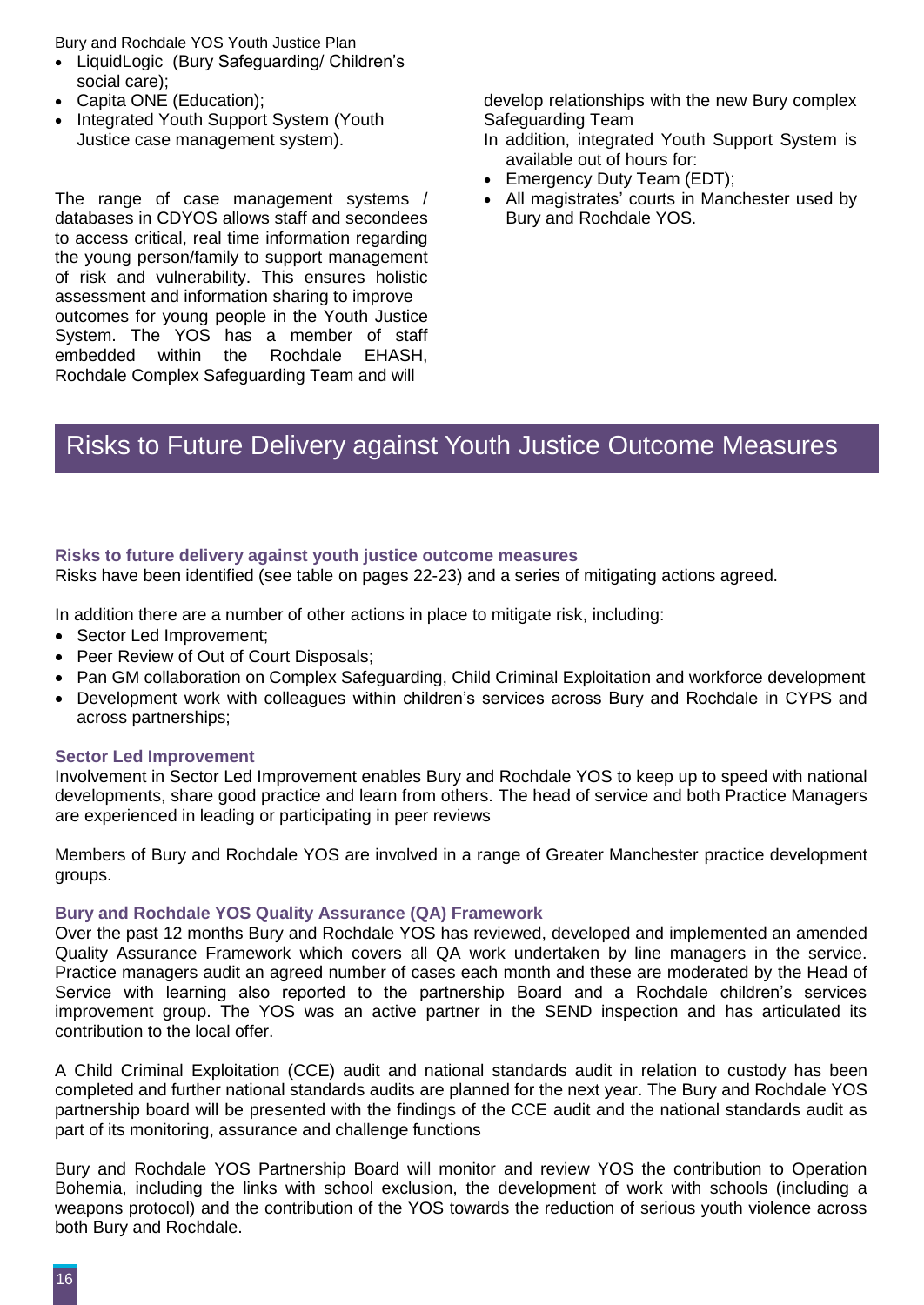Bury and Rochdale YOS Youth Justice Plan

- LiquidLogic (Bury Safeguarding/ Children's social care);
- Capita ONE (Education);
- Integrated Youth Support System (Youth Justice case management system).

The range of case management systems / databases in CDYOS allows staff and secondees to access critical, real time information regarding the young person/family to support management of risk and vulnerability. This ensures holistic assessment and information sharing to improve outcomes for young people in the Youth Justice System. The YOS has a member of staff embedded within the Rochdale EHASH, Rochdale Complex Safeguarding Team and will

develop relationships with the new Bury complex Safeguarding Team

- In addition, integrated Youth Support System is available out of hours for:
- Emergency Duty Team (EDT);
- All magistrates' courts in Manchester used by Bury and Rochdale YOS.

### Risks to Future Delivery against Youth Justice Outcome Measures

#### **Risks to future delivery against youth justice outcome measures**

Risks have been identified (see table on pages 22-23) and a series of mitigating actions agreed.

In addition there are a number of other actions in place to mitigate risk, including:

- Sector Led Improvement;
- Peer Review of Out of Court Disposals;
- Pan GM collaboration on Complex Safeguarding, Child Criminal Exploitation and workforce development
- Development work with colleagues within children's services across Bury and Rochdale in CYPS and across partnerships;

#### **Sector Led Improvement**

Involvement in Sector Led Improvement enables Bury and Rochdale YOS to keep up to speed with national developments, share good practice and learn from others. The head of service and both Practice Managers are experienced in leading or participating in peer reviews

Members of Bury and Rochdale YOS are involved in a range of Greater Manchester practice development groups.

#### **Bury and Rochdale YOS Quality Assurance (QA) Framework**

Over the past 12 months Bury and Rochdale YOS has reviewed, developed and implemented an amended Quality Assurance Framework which covers all QA work undertaken by line managers in the service. Practice managers audit an agreed number of cases each month and these are moderated by the Head of Service with learning also reported to the partnership Board and a Rochdale children's services improvement group. The YOS was an active partner in the SEND inspection and has articulated its contribution to the local offer.

A Child Criminal Exploitation (CCE) audit and national standards audit in relation to custody has been completed and further national standards audits are planned for the next year. The Bury and Rochdale YOS partnership board will be presented with the findings of the CCE audit and the national standards audit as part of its monitoring, assurance and challenge functions

Bury and Rochdale YOS Partnership Board will monitor and review YOS the contribution to Operation Bohemia, including the links with school exclusion, the development of work with schools (including a weapons protocol) and the contribution of the YOS towards the reduction of serious youth violence across both Bury and Rochdale.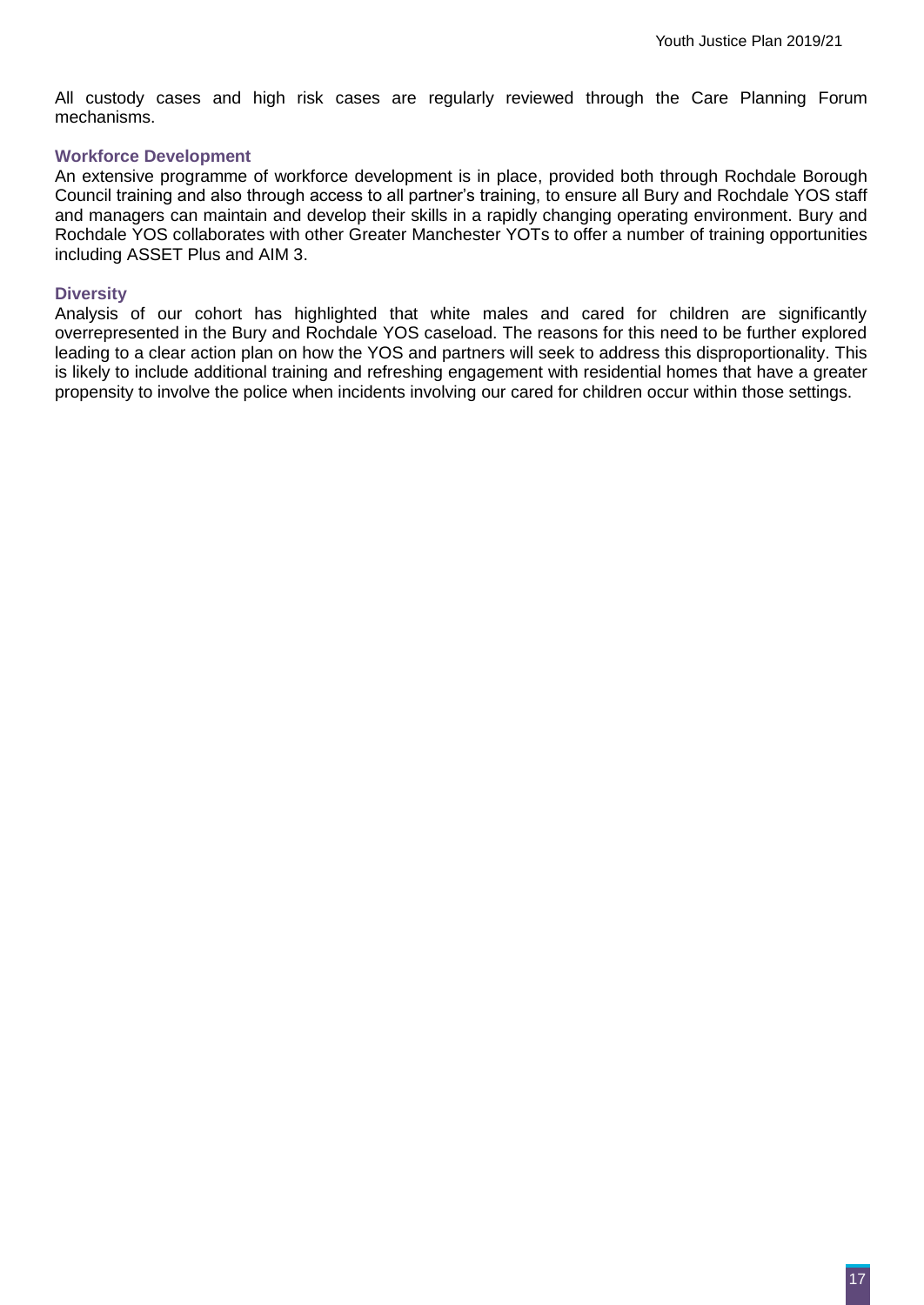All custody cases and high risk cases are regularly reviewed through the Care Planning Forum mechanisms.

#### **Workforce Development**

An extensive programme of workforce development is in place, provided both through Rochdale Borough Council training and also through access to all partner's training, to ensure all Bury and Rochdale YOS staff and managers can maintain and develop their skills in a rapidly changing operating environment. Bury and Rochdale YOS collaborates with other Greater Manchester YOTs to offer a number of training opportunities including ASSET Plus and AIM 3.

#### **Diversity**

Analysis of our cohort has highlighted that white males and cared for children are significantly overrepresented in the Bury and Rochdale YOS caseload. The reasons for this need to be further explored leading to a clear action plan on how the YOS and partners will seek to address this disproportionality. This is likely to include additional training and refreshing engagement with residential homes that have a greater propensity to involve the police when incidents involving our cared for children occur within those settings.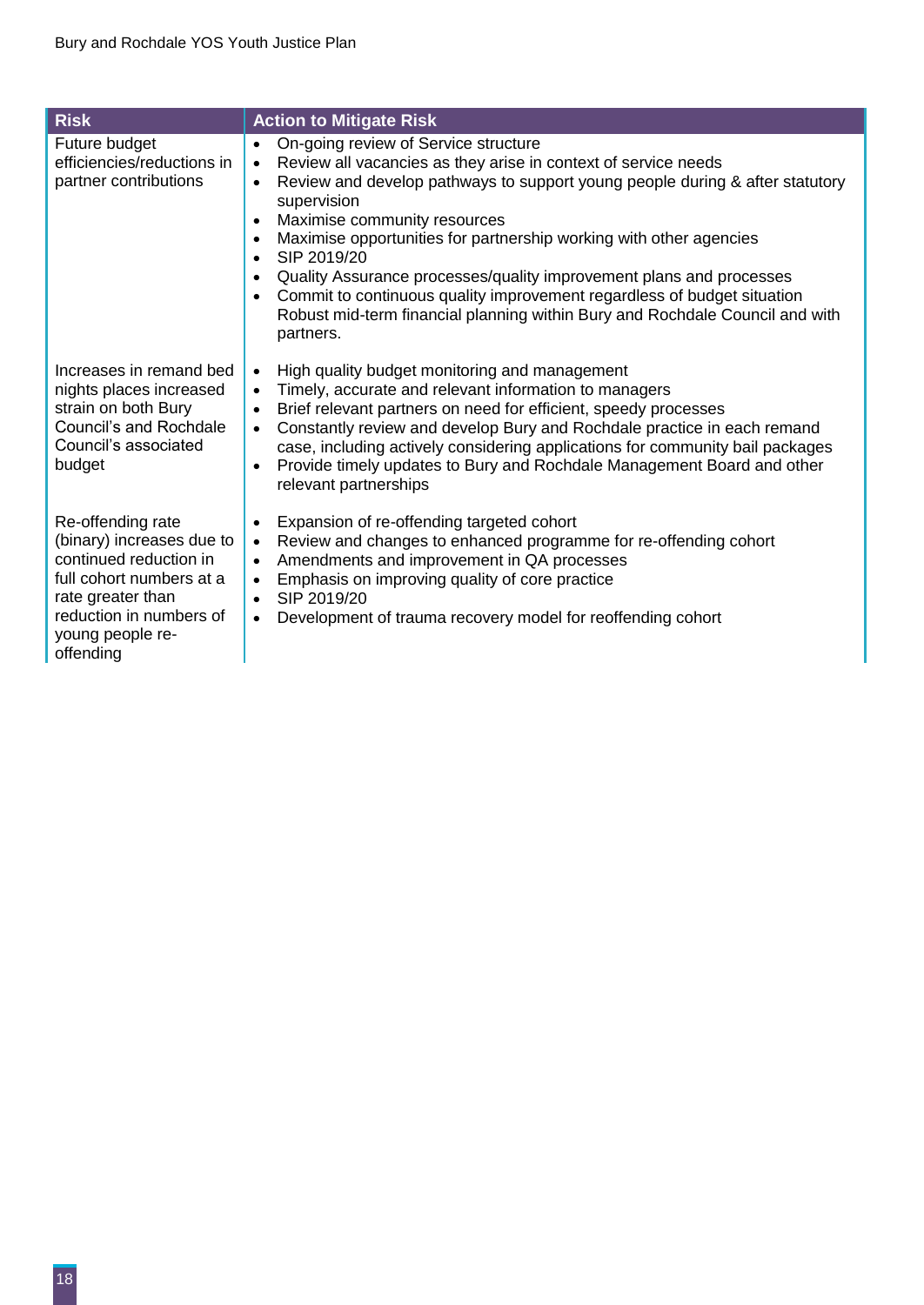| <b>Risk</b>                                                                                                                                                                           | <b>Action to Mitigate Risk</b>                                                                                                                                                                                                                                                                                                                                                                                                                                                                                                                                                                                                                                                    |
|---------------------------------------------------------------------------------------------------------------------------------------------------------------------------------------|-----------------------------------------------------------------------------------------------------------------------------------------------------------------------------------------------------------------------------------------------------------------------------------------------------------------------------------------------------------------------------------------------------------------------------------------------------------------------------------------------------------------------------------------------------------------------------------------------------------------------------------------------------------------------------------|
| Future budget<br>efficiencies/reductions in<br>partner contributions                                                                                                                  | On-going review of Service structure<br>$\bullet$<br>Review all vacancies as they arise in context of service needs<br>$\bullet$<br>Review and develop pathways to support young people during & after statutory<br>$\bullet$<br>supervision<br>Maximise community resources<br>$\bullet$<br>Maximise opportunities for partnership working with other agencies<br>$\bullet$<br>SIP 2019/20<br>$\bullet$<br>Quality Assurance processes/quality improvement plans and processes<br>$\bullet$<br>Commit to continuous quality improvement regardless of budget situation<br>$\bullet$<br>Robust mid-term financial planning within Bury and Rochdale Council and with<br>partners. |
| Increases in remand bed<br>nights places increased<br>strain on both Bury<br>Council's and Rochdale<br>Council's associated<br>budget                                                 | High quality budget monitoring and management<br>$\bullet$<br>Timely, accurate and relevant information to managers<br>$\bullet$<br>Brief relevant partners on need for efficient, speedy processes<br>$\bullet$<br>Constantly review and develop Bury and Rochdale practice in each remand<br>case, including actively considering applications for community bail packages<br>Provide timely updates to Bury and Rochdale Management Board and other<br>$\bullet$<br>relevant partnerships                                                                                                                                                                                      |
| Re-offending rate<br>(binary) increases due to<br>continued reduction in<br>full cohort numbers at a<br>rate greater than<br>reduction in numbers of<br>young people re-<br>offending | Expansion of re-offending targeted cohort<br>$\bullet$<br>Review and changes to enhanced programme for re-offending cohort<br>$\bullet$<br>Amendments and improvement in QA processes<br>$\bullet$<br>Emphasis on improving quality of core practice<br>$\bullet$<br>SIP 2019/20<br>$\bullet$<br>Development of trauma recovery model for reoffending cohort<br>$\bullet$                                                                                                                                                                                                                                                                                                         |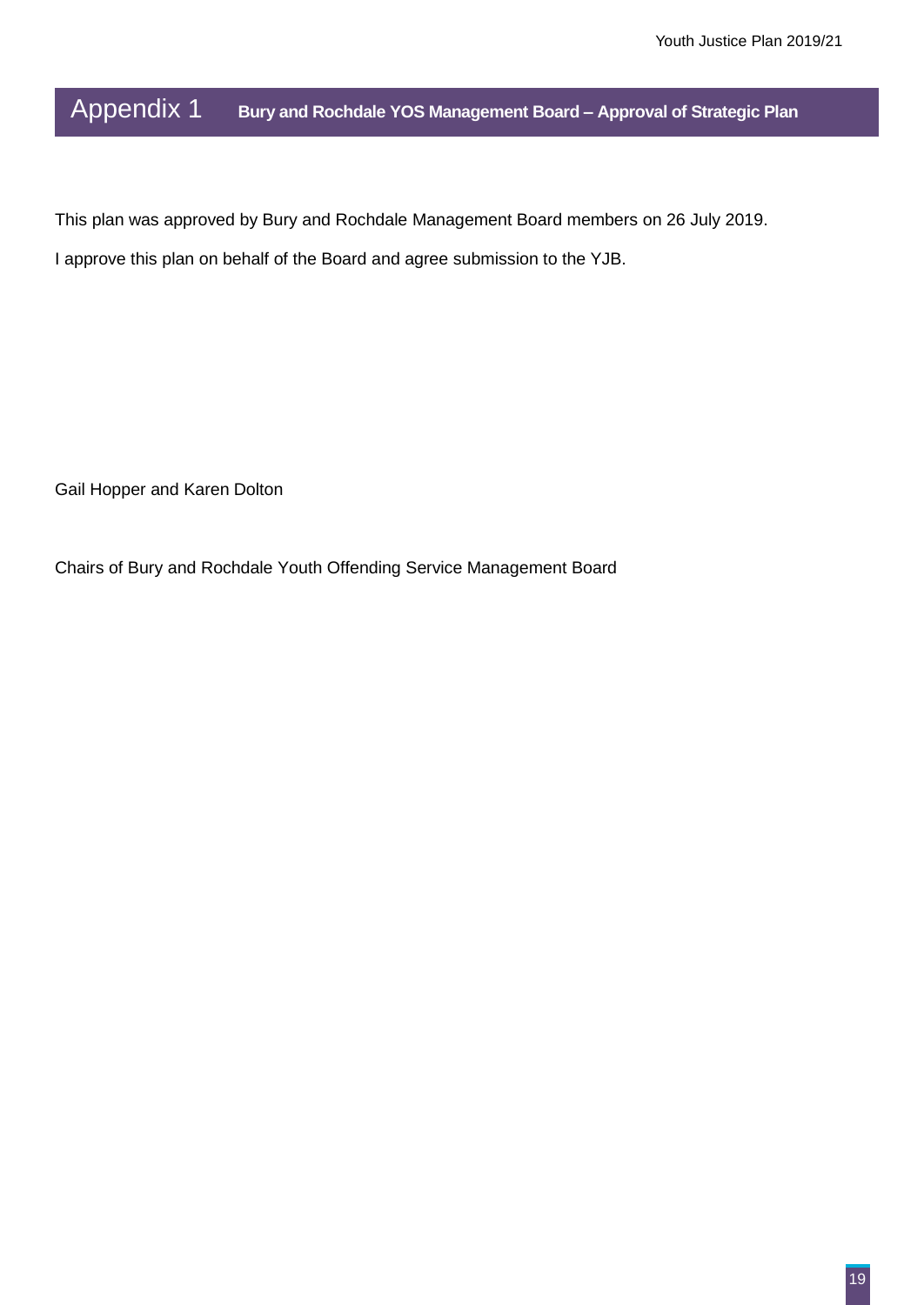Appendix 1 **Bury and Rochdale YOS Management Board – Approval of Strategic Plan**

This plan was approved by Bury and Rochdale Management Board members on 26 July 2019.

I approve this plan on behalf of the Board and agree submission to the YJB.

Gail Hopper and Karen Dolton

Chairs of Bury and Rochdale Youth Offending Service Management Board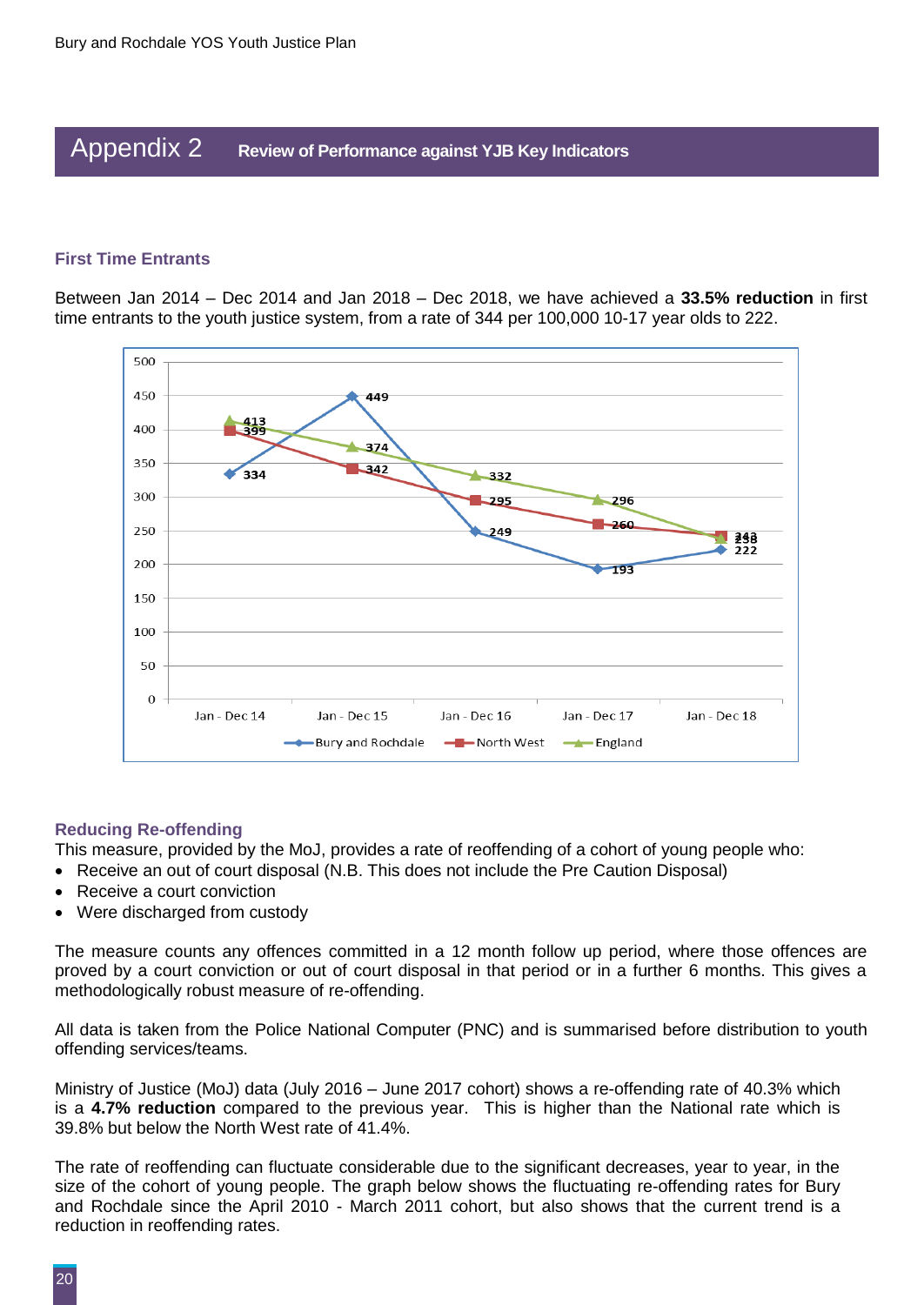### Appendix 2 **Review of Performance against YJB Key Indicators**

#### **First Time Entrants**

Between Jan 2014 – Dec 2014 and Jan 2018 – Dec 2018, we have achieved a **33.5% reduction** in first time entrants to the youth justice system, from a rate of 344 per 100,000 10-17 year olds to 222.



#### **Reducing Re-offending**

This measure, provided by the MoJ, provides a rate of reoffending of a cohort of young people who:

- Receive an out of court disposal (N.B. This does not include the Pre Caution Disposal)
- Receive a court conviction
- Were discharged from custody

The measure counts any offences committed in a 12 month follow up period, where those offences are proved by a court conviction or out of court disposal in that period or in a further 6 months. This gives a methodologically robust measure of re-offending.

All data is taken from the Police National Computer (PNC) and is summarised before distribution to youth offending services/teams.

Ministry of Justice (MoJ) data (July 2016 – June 2017 cohort) shows a re-offending rate of 40.3% which is a **4.7% reduction** compared to the previous year. This is higher than the National rate which is 39.8% but below the North West rate of 41.4%.

The rate of reoffending can fluctuate considerable due to the significant decreases, year to year, in the size of the cohort of young people. The graph below shows the fluctuating re-offending rates for Bury and Rochdale since the April 2010 - March 2011 cohort, but also shows that the current trend is a reduction in reoffending rates.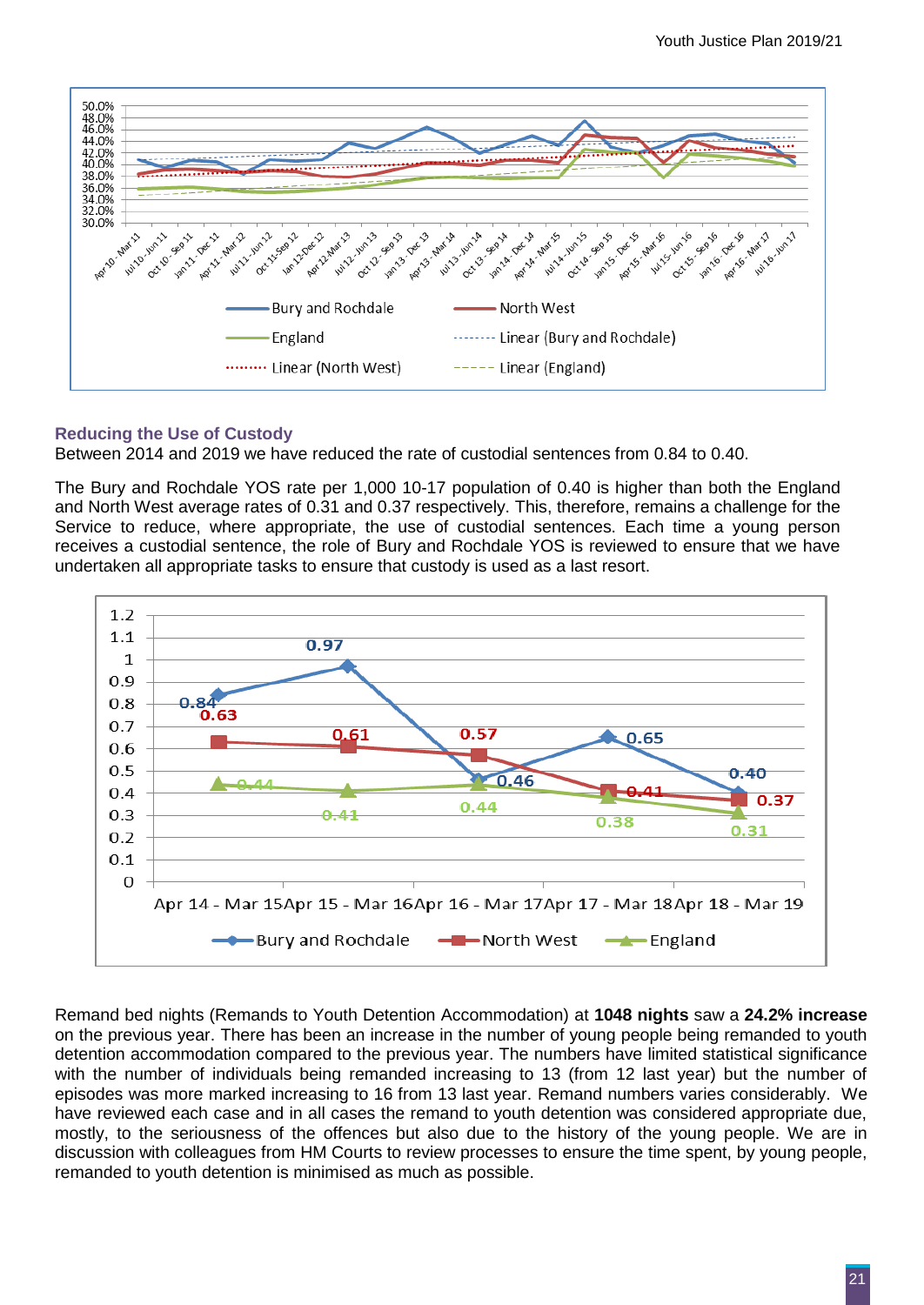

#### **Reducing the Use of Custody**

Between 2014 and 2019 we have reduced the rate of custodial sentences from 0.84 to 0.40.

The Bury and Rochdale YOS rate per 1,000 10-17 population of 0.40 is higher than both the England and North West average rates of 0.31 and 0.37 respectively. This, therefore, remains a challenge for the Service to reduce, where appropriate, the use of custodial sentences. Each time a young person receives a custodial sentence, the role of Bury and Rochdale YOS is reviewed to ensure that we have undertaken all appropriate tasks to ensure that custody is used as a last resort.



Remand bed nights (Remands to Youth Detention Accommodation) at **1048 nights** saw a **24.2% increase** on the previous year. There has been an increase in the number of young people being remanded to youth detention accommodation compared to the previous year. The numbers have limited statistical significance with the number of individuals being remanded increasing to 13 (from 12 last year) but the number of episodes was more marked increasing to 16 from 13 last year. Remand numbers varies considerably. We have reviewed each case and in all cases the remand to youth detention was considered appropriate due, mostly, to the seriousness of the offences but also due to the history of the young people. We are in discussion with colleagues from HM Courts to review processes to ensure the time spent, by young people, remanded to youth detention is minimised as much as possible.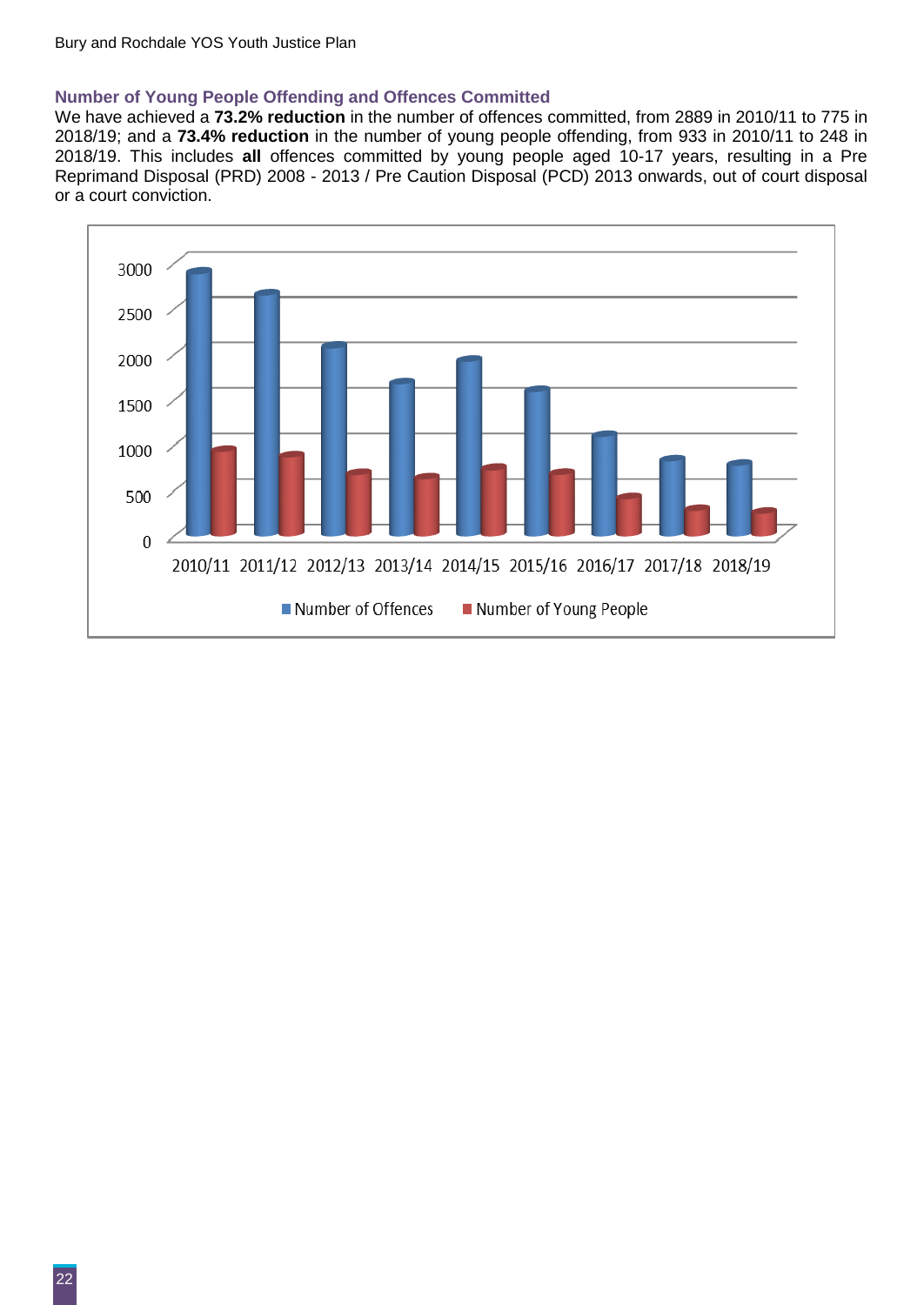#### **Number of Young People Offending and Offences Committed**

We have achieved a **73.2% reduction** in the number of offences committed, from 2889 in 2010/11 to 775 in 2018/19; and a **73.4% reduction** in the number of young people offending, from 933 in 2010/11 to 248 in 2018/19. This includes **all** offences committed by young people aged 10-17 years, resulting in a Pre Reprimand Disposal (PRD) 2008 - 2013 / Pre Caution Disposal (PCD) 2013 onwards, out of court disposal or a court conviction.

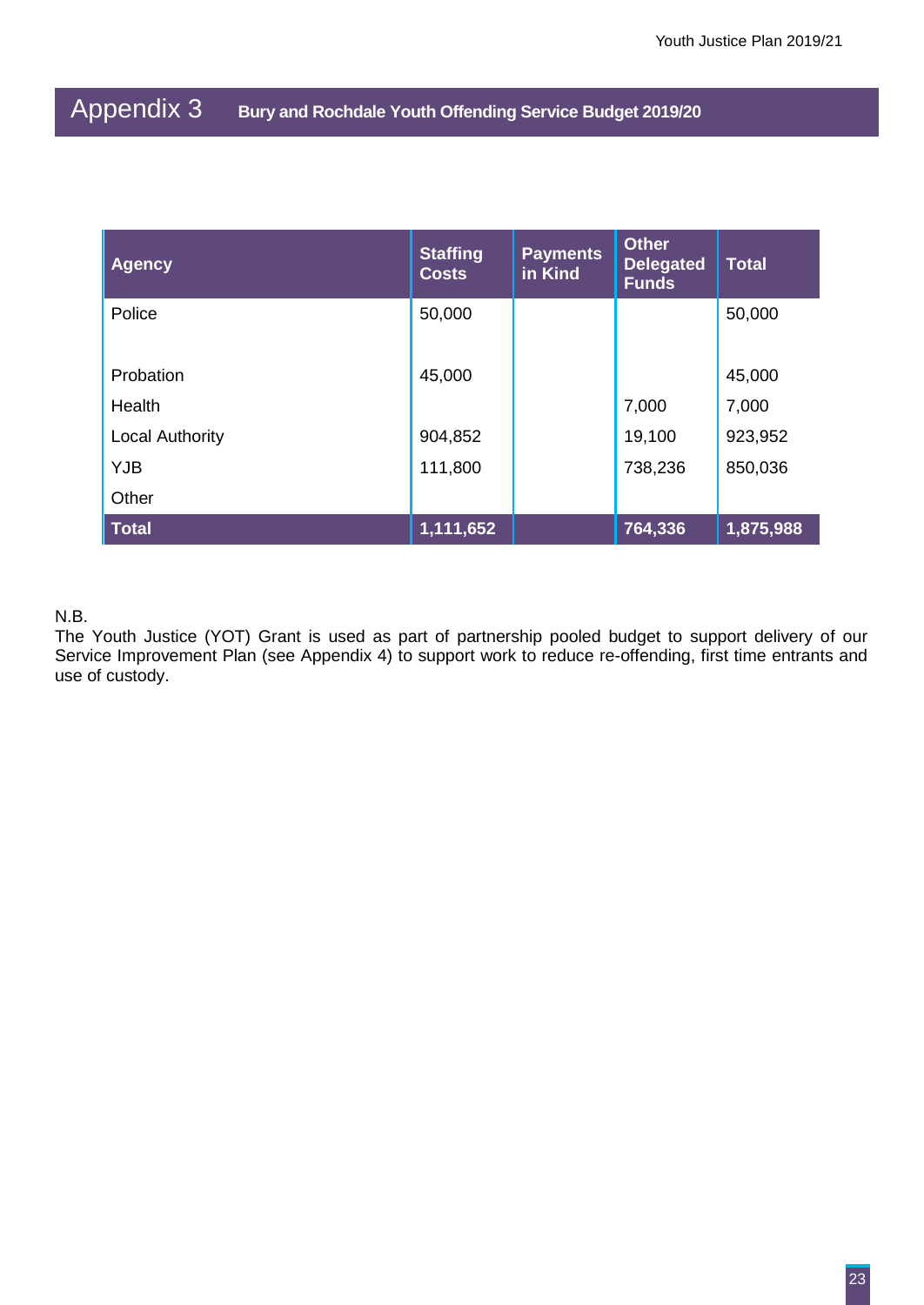## Appendix 3 **Bury and Rochdale Youth Offending Service Budget 2019/20**

| <b>Agency</b>          | <b>Staffing</b><br><b>Costs</b> | <b>Payments</b><br>in Kind | <b>Other</b><br><b>Delegated</b><br><b>Funds</b> | <b>Total</b> |
|------------------------|---------------------------------|----------------------------|--------------------------------------------------|--------------|
| Police                 | 50,000                          |                            |                                                  | 50,000       |
| Probation              | 45,000                          |                            |                                                  | 45,000       |
| Health                 |                                 |                            | 7,000                                            | 7,000        |
| <b>Local Authority</b> | 904,852                         |                            | 19,100                                           | 923,952      |
| <b>YJB</b>             | 111,800                         |                            | 738,236                                          | 850,036      |
| Other                  |                                 |                            |                                                  |              |
| <b>Total</b>           | 1,111,652                       |                            | 764,336                                          | 1,875,988    |

#### N.B.

The Youth Justice (YOT) Grant is used as part of partnership pooled budget to support delivery of our Service Improvement Plan (see Appendix 4) to support work to reduce re-offending, first time entrants and use of custody.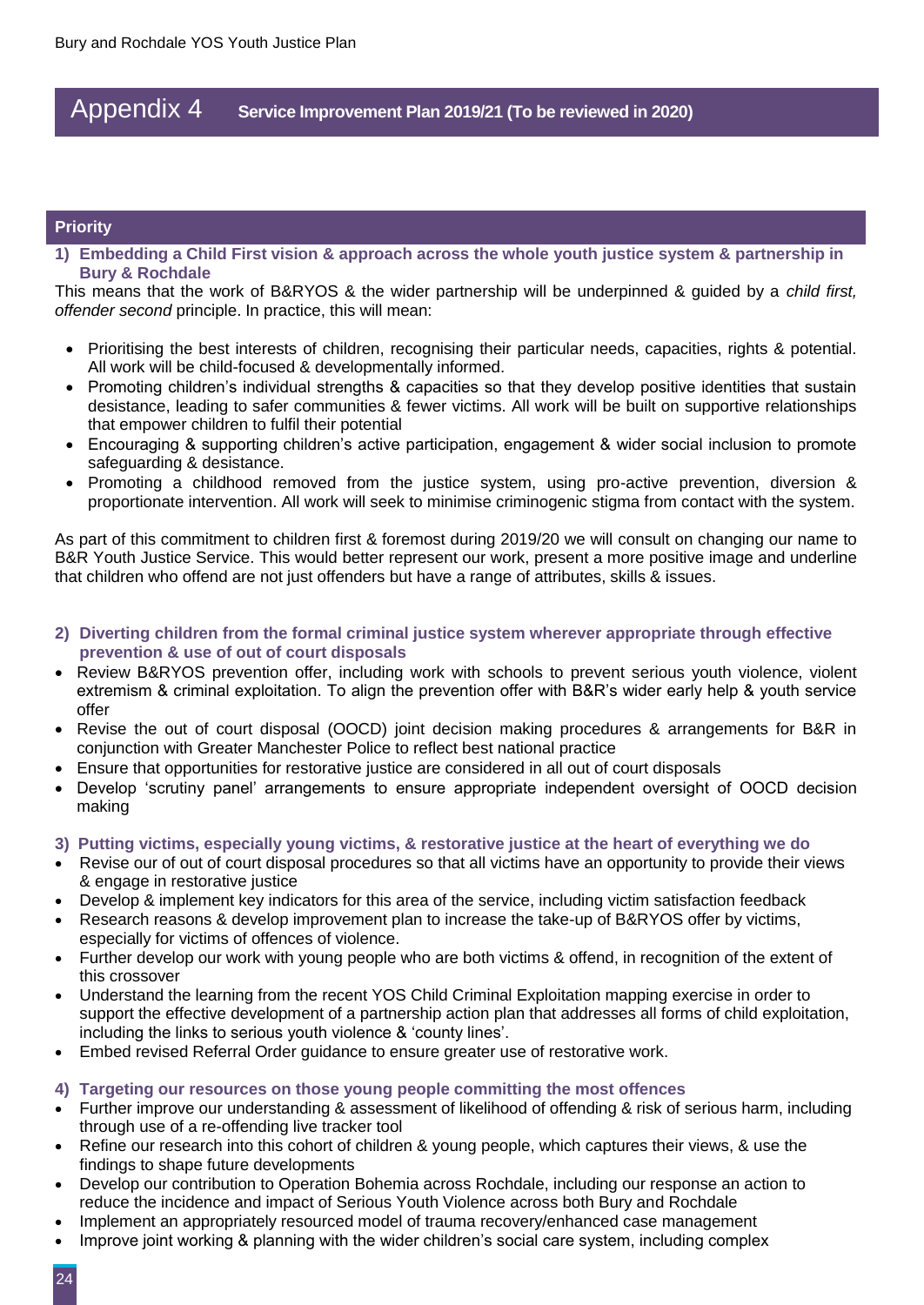### Appendix 4 **Service Improvement Plan 2019/21 (To be reviewed in 2020)**

#### **Priority**

**1) Embedding a Child First vision & approach across the whole youth justice system & partnership in Bury & Rochdale**

This means that the work of B&RYOS & the wider partnership will be underpinned & guided by a *child first, offender second* principle. In practice, this will mean:

- Prioritising the best interests of children, recognising their particular needs, capacities, rights & potential. All work will be child-focused & developmentally informed.
- Promoting children's individual strengths & capacities so that they develop positive identities that sustain desistance, leading to safer communities & fewer victims. All work will be built on supportive relationships that empower children to fulfil their potential
- Encouraging & supporting children's active participation, engagement & wider social inclusion to promote safeguarding & desistance.
- Promoting a childhood removed from the justice system, using pro-active prevention, diversion & proportionate intervention. All work will seek to minimise criminogenic stigma from contact with the system.

As part of this commitment to children first & foremost during 2019/20 we will consult on changing our name to B&R Youth Justice Service. This would better represent our work, present a more positive image and underline that children who offend are not just offenders but have a range of attributes, skills & issues.

- **2) Diverting children from the formal criminal justice system wherever appropriate through effective prevention & use of out of court disposals**
- Review B&RYOS prevention offer, including work with schools to prevent serious youth violence, violent extremism & criminal exploitation. To align the prevention offer with B&R's wider early help & youth service offer
- Revise the out of court disposal (OOCD) joint decision making procedures & arrangements for B&R in conjunction with Greater Manchester Police to reflect best national practice
- Ensure that opportunities for restorative justice are considered in all out of court disposals
- Develop 'scrutiny panel' arrangements to ensure appropriate independent oversight of OOCD decision making

#### **3) Putting victims, especially young victims, & restorative justice at the heart of everything we do**

- Revise our of out of court disposal procedures so that all victims have an opportunity to provide their views & engage in restorative justice
- Develop & implement key indicators for this area of the service, including victim satisfaction feedback
- Research reasons & develop improvement plan to increase the take-up of B&RYOS offer by victims, especially for victims of offences of violence.
- Further develop our work with young people who are both victims & offend, in recognition of the extent of this crossover
- Understand the learning from the recent YOS Child Criminal Exploitation mapping exercise in order to support the effective development of a partnership action plan that addresses all forms of child exploitation, including the links to serious youth violence & 'county lines'.
- Embed revised Referral Order guidance to ensure greater use of restorative work.

#### **4) Targeting our resources on those young people committing the most offences**

- Further improve our understanding & assessment of likelihood of offending & risk of serious harm, including through use of a re-offending live tracker tool
- Refine our research into this cohort of children & young people, which captures their views, & use the findings to shape future developments
- Develop our contribution to Operation Bohemia across Rochdale, including our response an action to reduce the incidence and impact of Serious Youth Violence across both Bury and Rochdale
- Implement an appropriately resourced model of trauma recovery/enhanced case management
- Improve joint working & planning with the wider children's social care system, including complex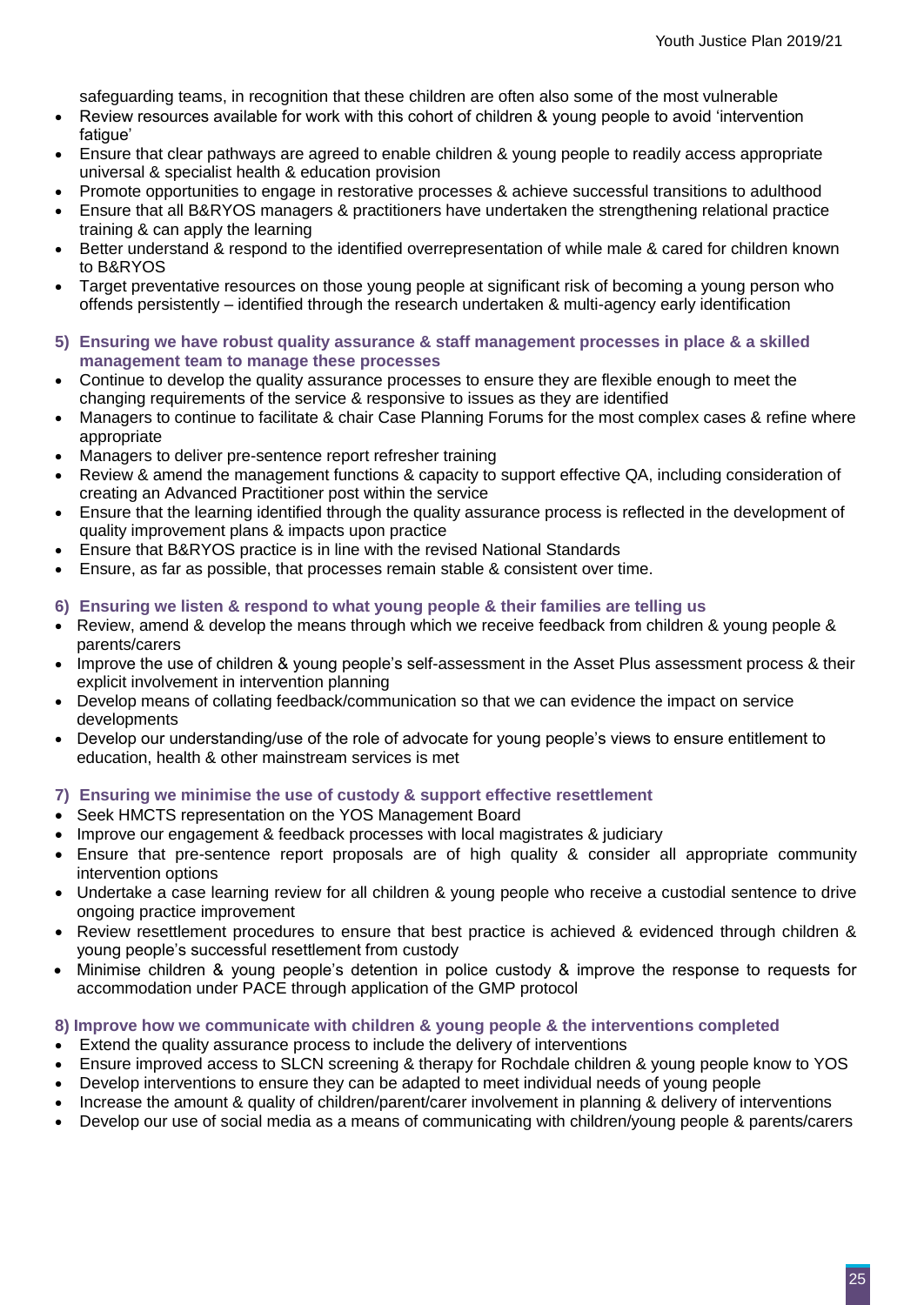safeguarding teams, in recognition that these children are often also some of the most vulnerable

- Review resources available for work with this cohort of children & young people to avoid 'intervention fatigue'
- Ensure that clear pathways are agreed to enable children & young people to readily access appropriate universal & specialist health & education provision
- Promote opportunities to engage in restorative processes & achieve successful transitions to adulthood
- Ensure that all B&RYOS managers & practitioners have undertaken the strengthening relational practice training & can apply the learning
- Better understand & respond to the identified overrepresentation of while male & cared for children known to B&RYOS
- Target preventative resources on those young people at significant risk of becoming a young person who offends persistently – identified through the research undertaken & multi-agency early identification
- **5) Ensuring we have robust quality assurance & staff management processes in place & a skilled management team to manage these processes**
- Continue to develop the quality assurance processes to ensure they are flexible enough to meet the changing requirements of the service & responsive to issues as they are identified
- Managers to continue to facilitate & chair Case Planning Forums for the most complex cases & refine where appropriate
- Managers to deliver pre-sentence report refresher training
- Review & amend the management functions & capacity to support effective QA, including consideration of creating an Advanced Practitioner post within the service
- Ensure that the learning identified through the quality assurance process is reflected in the development of quality improvement plans & impacts upon practice
- Ensure that B&RYOS practice is in line with the revised National Standards
- Ensure, as far as possible, that processes remain stable & consistent over time.

#### **6) Ensuring we listen & respond to what young people & their families are telling us**

- Review, amend & develop the means through which we receive feedback from children & young people & parents/carers
- Improve the use of children & young people's self-assessment in the Asset Plus assessment process & their explicit involvement in intervention planning
- Develop means of collating feedback/communication so that we can evidence the impact on service developments
- Develop our understanding/use of the role of advocate for young people's views to ensure entitlement to education, health & other mainstream services is met

#### **7) Ensuring we minimise the use of custody & support effective resettlement**

- Seek HMCTS representation on the YOS Management Board
- Improve our engagement & feedback processes with local magistrates & judiciary
- Ensure that pre-sentence report proposals are of high quality & consider all appropriate community intervention options
- Undertake a case learning review for all children & young people who receive a custodial sentence to drive ongoing practice improvement
- Review resettlement procedures to ensure that best practice is achieved & evidenced through children & young people's successful resettlement from custody
- Minimise children & young people's detention in police custody & improve the response to requests for accommodation under PACE through application of the GMP protocol

#### **8) Improve how we communicate with children & young people & the interventions completed**

- Extend the quality assurance process to include the delivery of interventions
- Ensure improved access to SLCN screening & therapy for Rochdale children & young people know to YOS
- Develop interventions to ensure they can be adapted to meet individual needs of young people
- Increase the amount & quality of children/parent/carer involvement in planning & delivery of interventions
- Develop our use of social media as a means of communicating with children/young people & parents/carers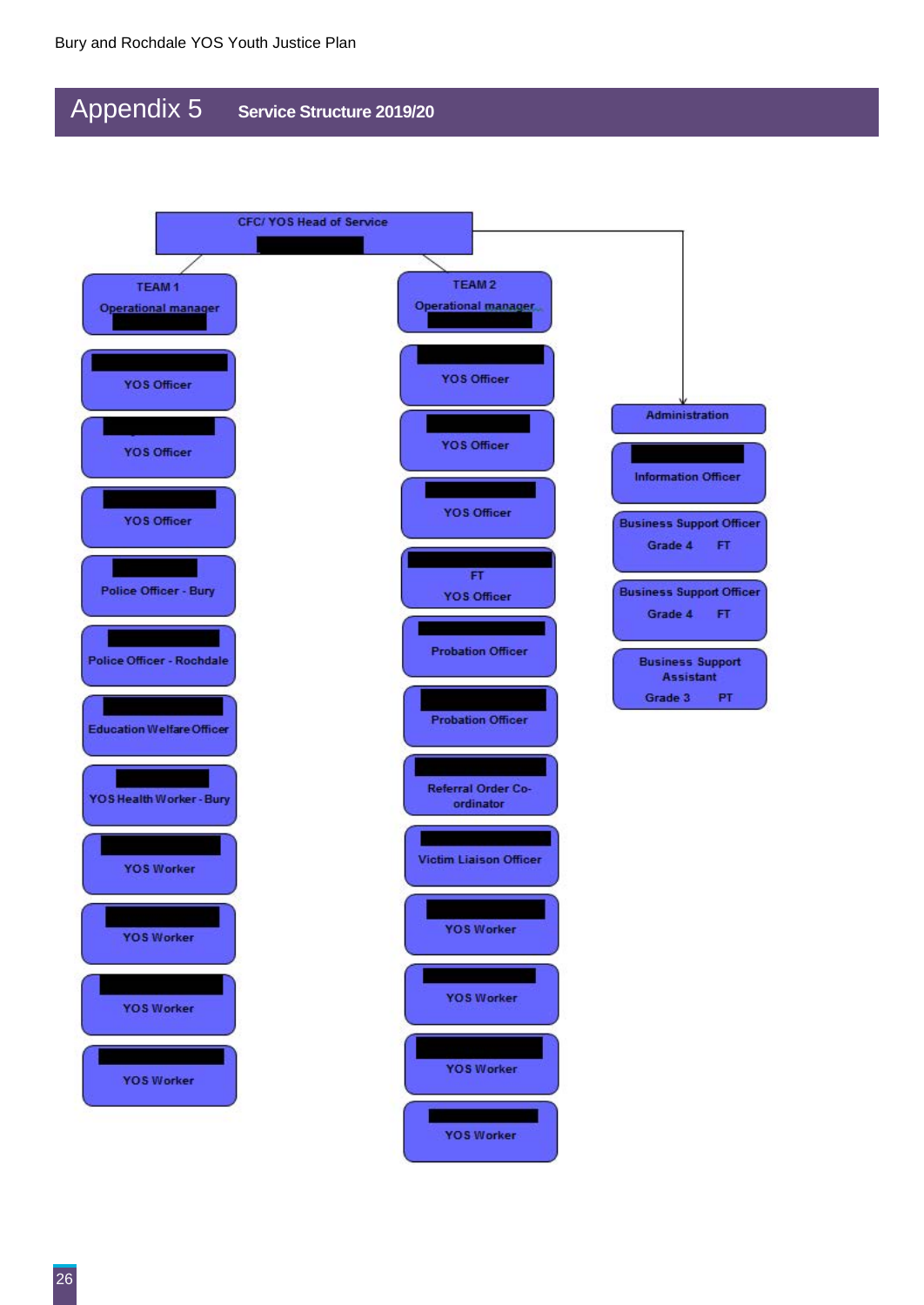## Appendix 5 **Service Structure 2019/20**

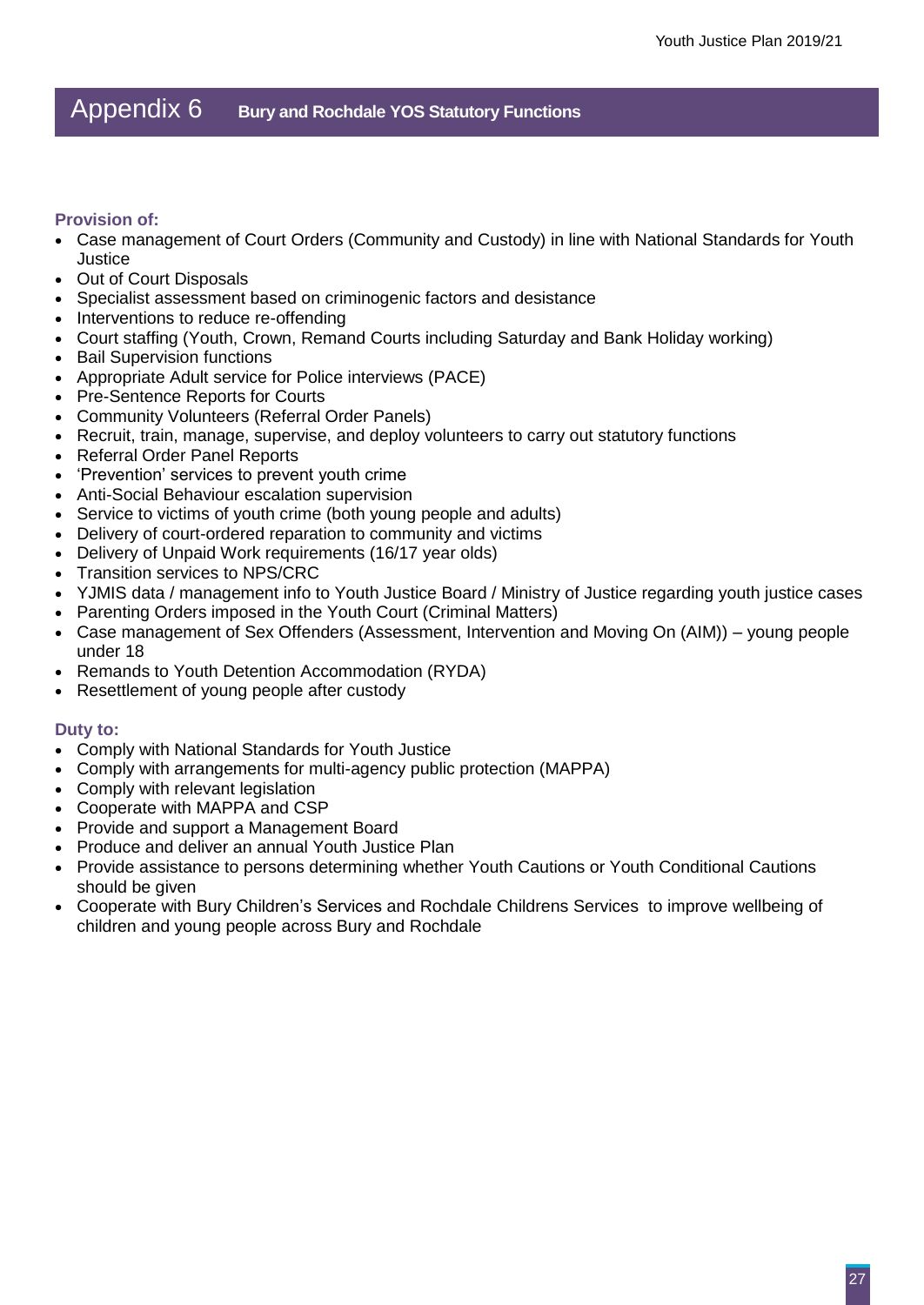### Appendix 6 **Bury and Rochdale YOS Statutory Functions**

#### **Provision of:**

- Case management of Court Orders (Community and Custody) in line with National Standards for Youth **Justice**
- Out of Court Disposals
- Specialist assessment based on criminogenic factors and desistance
- Interventions to reduce re-offending
- Court staffing (Youth, Crown, Remand Courts including Saturday and Bank Holiday working)
- Bail Supervision functions
- Appropriate Adult service for Police interviews (PACE)
- Pre-Sentence Reports for Courts
- Community Volunteers (Referral Order Panels)
- Recruit, train, manage, supervise, and deploy volunteers to carry out statutory functions
- Referral Order Panel Reports
- 'Prevention' services to prevent youth crime
- Anti-Social Behaviour escalation supervision
- Service to victims of youth crime (both young people and adults)
- Delivery of court-ordered reparation to community and victims
- Delivery of Unpaid Work requirements (16/17 year olds)
- Transition services to NPS/CRC
- YJMIS data / management info to Youth Justice Board / Ministry of Justice regarding youth justice cases
- Parenting Orders imposed in the Youth Court (Criminal Matters)
- Case management of Sex Offenders (Assessment, Intervention and Moving On (AIM)) young people under 18
- Remands to Youth Detention Accommodation (RYDA)
- Resettlement of young people after custody

#### **Duty to:**

- Comply with National Standards for Youth Justice
- Comply with arrangements for multi-agency public protection (MAPPA)
- Comply with relevant legislation
- Cooperate with MAPPA and CSP
- Provide and support a Management Board
- Produce and deliver an annual Youth Justice Plan
- Provide assistance to persons determining whether Youth Cautions or Youth Conditional Cautions should be given
- Cooperate with Bury Children's Services and Rochdale Childrens Services to improve wellbeing of children and young people across Bury and Rochdale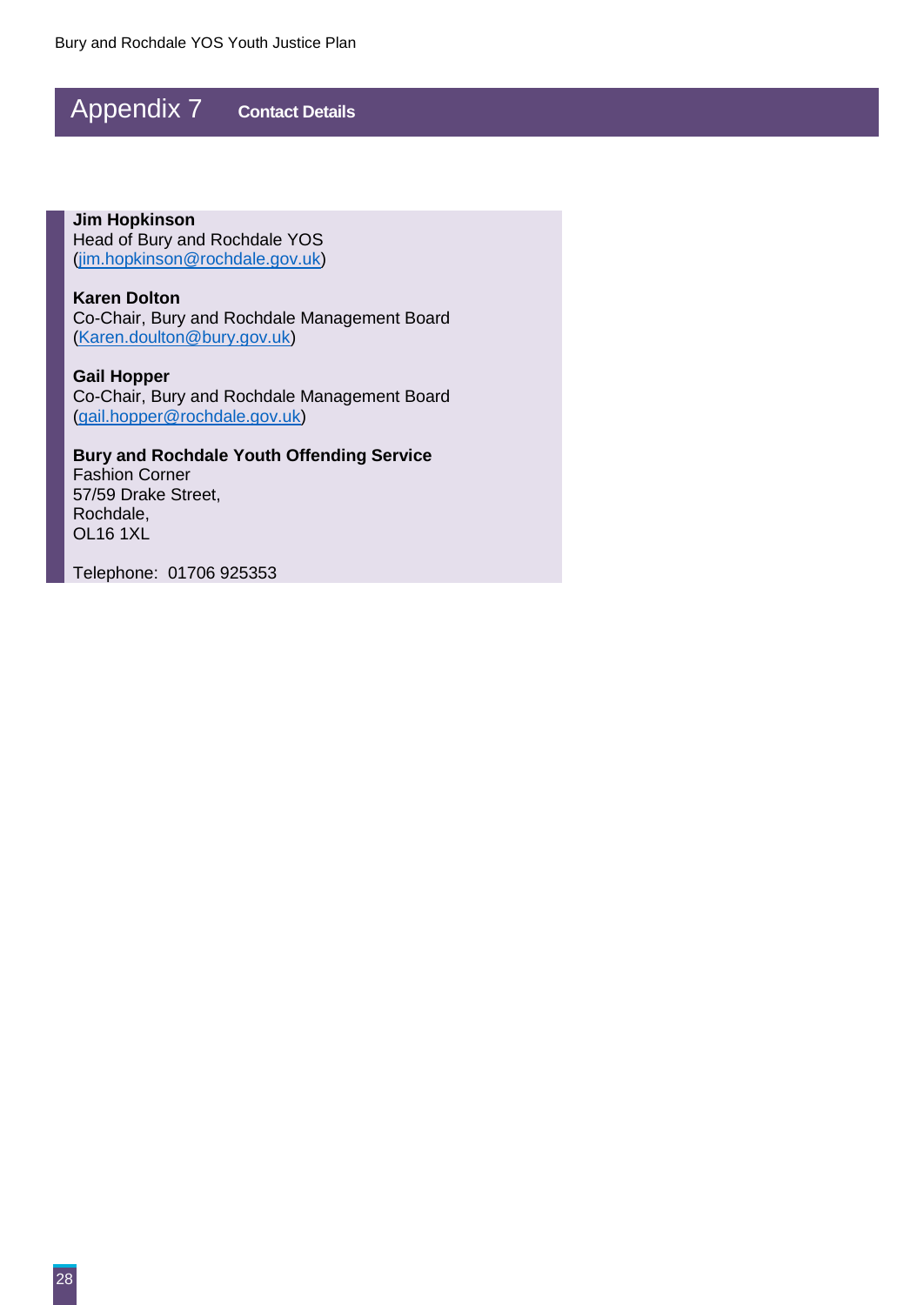## Appendix 7 **Contact Details**

**Jim Hopkinson** Head of Bury and Rochdale YOS [\(jim.hopkinson@rochdale.gov.uk\)](mailto:jim.hopkinson@rochdale.gov.uk)

**Karen Dolton** Co-Chair, Bury and Rochdale Management Board [\(Karen.doulton@bury.gov.uk\)](mailto:Karen.doulton@bury.gov.uk)

**Gail Hopper** Co-Chair, Bury and Rochdale Management Board [\(gail.hopper@rochdale.gov.uk\)](mailto:gail.hopper@rochdale.gov.uk)

**Bury and Rochdale Youth Offending Service**

Fashion Corner 57/59 Drake Street, Rochdale, OL16 1XL

Telephone: 01706 925353